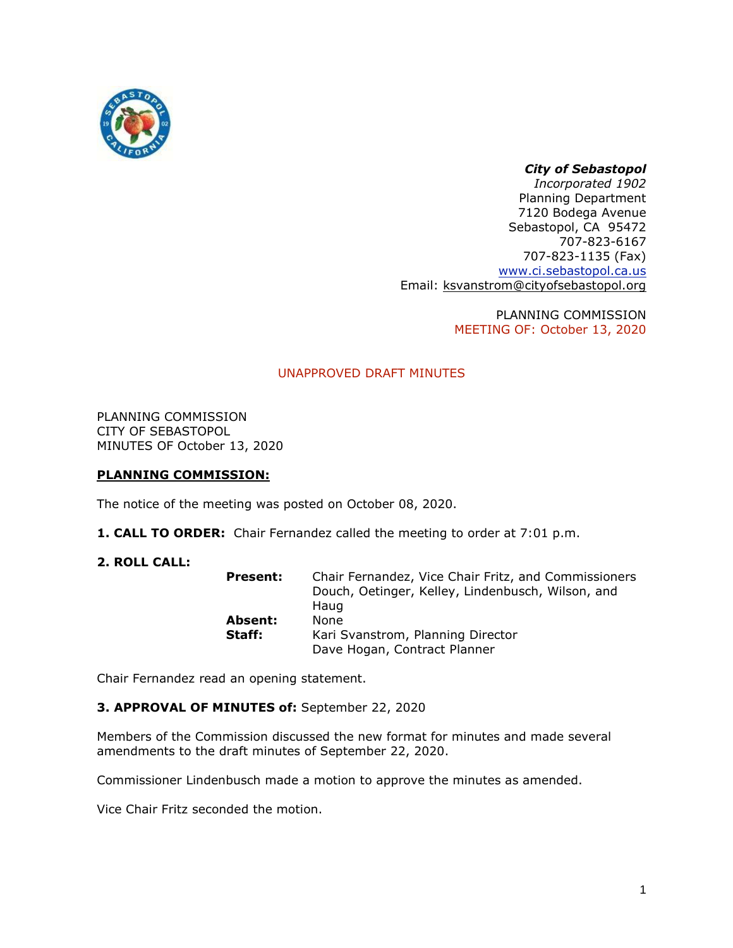

# *City of Sebastopol*

*Incorporated 1902* Planning Department 7120 Bodega Avenue Sebastopol, CA 95472 707-823-6167 707-823-1135 (Fax) [www.ci.sebastopol.ca.us](http://www.ci.sebastopol.ca.us/) Email: [ksvanstrom@cityofsebastopol.org](mailto:ksvanstrom@cityofsebastopol.org)

> PLANNING COMMISSION MEETING OF: October 13, 2020

# UNAPPROVED DRAFT MINUTES

PLANNING COMMISSION CITY OF SEBASTOPOL MINUTES OF October 13, 2020

# **PLANNING COMMISSION:**

The notice of the meeting was posted on October 08, 2020.

**1. CALL TO ORDER:** Chair Fernandez called the meeting to order at 7:01 p.m.

# **2. ROLL CALL:**

| <b>Present:</b> | Chair Fernandez, Vice Chair Fritz, and Commissioners<br>Douch, Oetinger, Kelley, Lindenbusch, Wilson, and |
|-----------------|-----------------------------------------------------------------------------------------------------------|
|                 | Haug                                                                                                      |
| Absent:         | None                                                                                                      |
| Staff:          | Kari Svanstrom, Planning Director                                                                         |
|                 | Dave Hogan, Contract Planner                                                                              |

Chair Fernandez read an opening statement.

# **3. APPROVAL OF MINUTES of:** September 22, 2020

Members of the Commission discussed the new format for minutes and made several amendments to the draft minutes of September 22, 2020.

Commissioner Lindenbusch made a motion to approve the minutes as amended.

Vice Chair Fritz seconded the motion.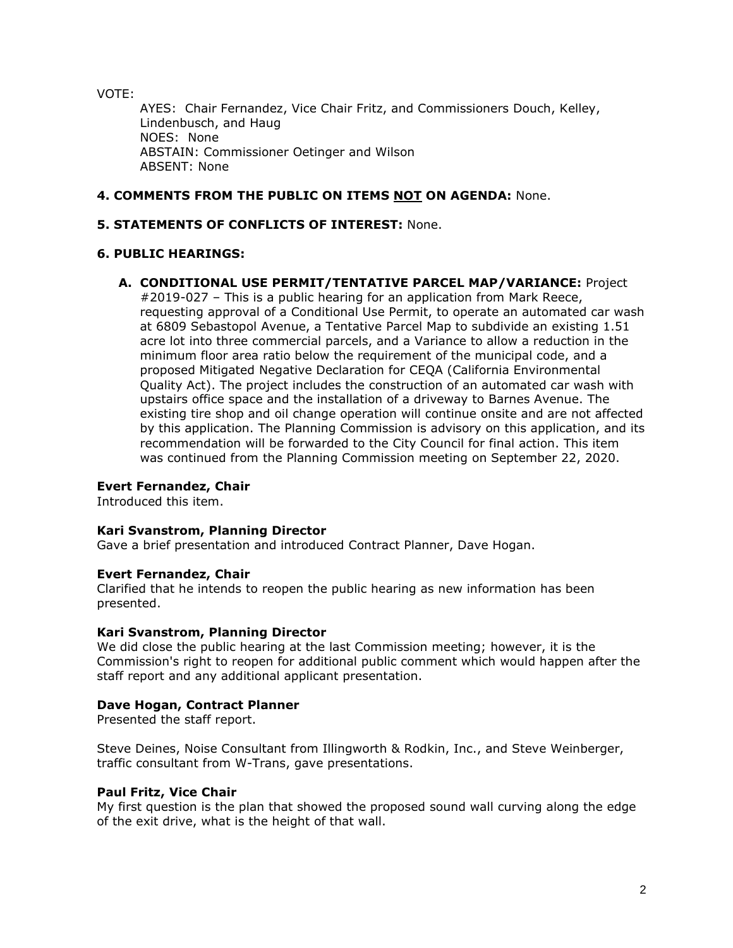VOTE:

AYES: Chair Fernandez, Vice Chair Fritz, and Commissioners Douch, Kelley, Lindenbusch, and Haug NOES: None ABSTAIN: Commissioner Oetinger and Wilson ABSENT: None

# **4. COMMENTS FROM THE PUBLIC ON ITEMS NOT ON AGENDA:** None.

# **5. STATEMENTS OF CONFLICTS OF INTEREST:** None.

# **6. PUBLIC HEARINGS:**

# **A. CONDITIONAL USE PERMIT/TENTATIVE PARCEL MAP/VARIANCE:** Project

#2019-027 – This is a public hearing for an application from Mark Reece, requesting approval of a Conditional Use Permit, to operate an automated car wash at 6809 Sebastopol Avenue, a Tentative Parcel Map to subdivide an existing 1.51 acre lot into three commercial parcels, and a Variance to allow a reduction in the minimum floor area ratio below the requirement of the municipal code, and a proposed Mitigated Negative Declaration for CEQA (California Environmental Quality Act). The project includes the construction of an automated car wash with upstairs office space and the installation of a driveway to Barnes Avenue. The existing tire shop and oil change operation will continue onsite and are not affected by this application. The Planning Commission is advisory on this application, and its recommendation will be forwarded to the City Council for final action. This item was continued from the Planning Commission meeting on September 22, 2020.

# **Evert Fernandez, Chair**

Introduced this item.

# **Kari Svanstrom, Planning Director**

Gave a brief presentation and introduced Contract Planner, Dave Hogan.

# **Evert Fernandez, Chair**

Clarified that he intends to reopen the public hearing as new information has been presented.

# **Kari Svanstrom, Planning Director**

We did close the public hearing at the last Commission meeting; however, it is the Commission's right to reopen for additional public comment which would happen after the staff report and any additional applicant presentation.

# **Dave Hogan, Contract Planner**

Presented the staff report.

Steve Deines, Noise Consultant from Illingworth & Rodkin, Inc., and Steve Weinberger, traffic consultant from W-Trans, gave presentations.

# **Paul Fritz, Vice Chair**

My first question is the plan that showed the proposed sound wall curving along the edge of the exit drive, what is the height of that wall.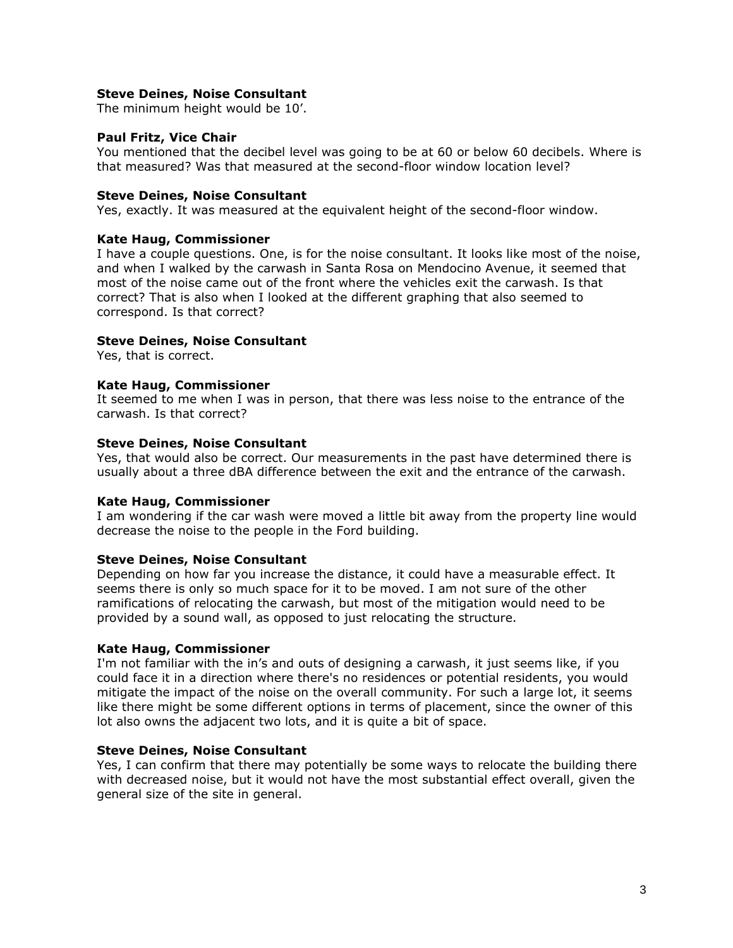### **Steve Deines, Noise Consultant**

The minimum height would be 10'.

### **Paul Fritz, Vice Chair**

You mentioned that the decibel level was going to be at 60 or below 60 decibels. Where is that measured? Was that measured at the second-floor window location level?

### **Steve Deines, Noise Consultant**

Yes, exactly. It was measured at the equivalent height of the second-floor window.

### **Kate Haug, Commissioner**

I have a couple questions. One, is for the noise consultant. It looks like most of the noise, and when I walked by the carwash in Santa Rosa on Mendocino Avenue, it seemed that most of the noise came out of the front where the vehicles exit the carwash. Is that correct? That is also when I looked at the different graphing that also seemed to correspond. Is that correct?

### **Steve Deines, Noise Consultant**

Yes, that is correct.

### **Kate Haug, Commissioner**

It seemed to me when I was in person, that there was less noise to the entrance of the carwash. Is that correct?

### **Steve Deines, Noise Consultant**

Yes, that would also be correct. Our measurements in the past have determined there is usually about a three dBA difference between the exit and the entrance of the carwash.

#### **Kate Haug, Commissioner**

I am wondering if the car wash were moved a little bit away from the property line would decrease the noise to the people in the Ford building.

#### **Steve Deines, Noise Consultant**

Depending on how far you increase the distance, it could have a measurable effect. It seems there is only so much space for it to be moved. I am not sure of the other ramifications of relocating the carwash, but most of the mitigation would need to be provided by a sound wall, as opposed to just relocating the structure.

#### **Kate Haug, Commissioner**

I'm not familiar with the in's and outs of designing a carwash, it just seems like, if you could face it in a direction where there's no residences or potential residents, you would mitigate the impact of the noise on the overall community. For such a large lot, it seems like there might be some different options in terms of placement, since the owner of this lot also owns the adjacent two lots, and it is quite a bit of space.

### **Steve Deines, Noise Consultant**

Yes, I can confirm that there may potentially be some ways to relocate the building there with decreased noise, but it would not have the most substantial effect overall, given the general size of the site in general.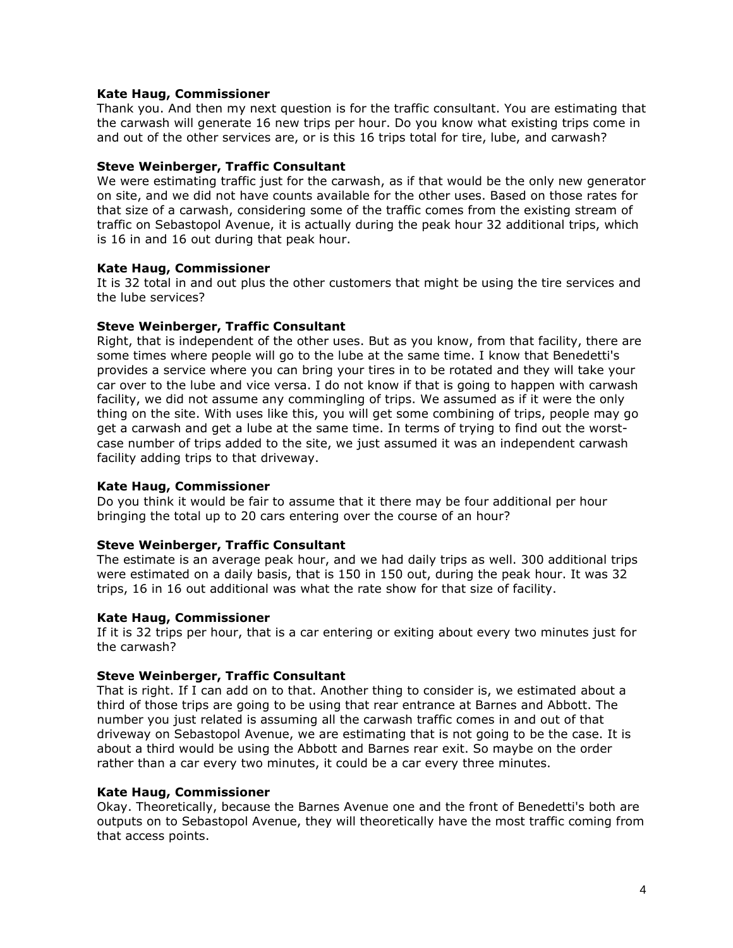### **Kate Haug, Commissioner**

Thank you. And then my next question is for the traffic consultant. You are estimating that the carwash will generate 16 new trips per hour. Do you know what existing trips come in and out of the other services are, or is this 16 trips total for tire, lube, and carwash?

### **Steve Weinberger, Traffic Consultant**

We were estimating traffic just for the carwash, as if that would be the only new generator on site, and we did not have counts available for the other uses. Based on those rates for that size of a carwash, considering some of the traffic comes from the existing stream of traffic on Sebastopol Avenue, it is actually during the peak hour 32 additional trips, which is 16 in and 16 out during that peak hour.

### **Kate Haug, Commissioner**

It is 32 total in and out plus the other customers that might be using the tire services and the lube services?

# **Steve Weinberger, Traffic Consultant**

Right, that is independent of the other uses. But as you know, from that facility, there are some times where people will go to the lube at the same time. I know that Benedetti's provides a service where you can bring your tires in to be rotated and they will take your car over to the lube and vice versa. I do not know if that is going to happen with carwash facility, we did not assume any commingling of trips. We assumed as if it were the only thing on the site. With uses like this, you will get some combining of trips, people may go get a carwash and get a lube at the same time. In terms of trying to find out the worstcase number of trips added to the site, we just assumed it was an independent carwash facility adding trips to that driveway.

# **Kate Haug, Commissioner**

Do you think it would be fair to assume that it there may be four additional per hour bringing the total up to 20 cars entering over the course of an hour?

# **Steve Weinberger, Traffic Consultant**

The estimate is an average peak hour, and we had daily trips as well. 300 additional trips were estimated on a daily basis, that is 150 in 150 out, during the peak hour. It was 32 trips, 16 in 16 out additional was what the rate show for that size of facility.

#### **Kate Haug, Commissioner**

If it is 32 trips per hour, that is a car entering or exiting about every two minutes just for the carwash?

#### **Steve Weinberger, Traffic Consultant**

That is right. If I can add on to that. Another thing to consider is, we estimated about a third of those trips are going to be using that rear entrance at Barnes and Abbott. The number you just related is assuming all the carwash traffic comes in and out of that driveway on Sebastopol Avenue, we are estimating that is not going to be the case. It is about a third would be using the Abbott and Barnes rear exit. So maybe on the order rather than a car every two minutes, it could be a car every three minutes.

#### **Kate Haug, Commissioner**

Okay. Theoretically, because the Barnes Avenue one and the front of Benedetti's both are outputs on to Sebastopol Avenue, they will theoretically have the most traffic coming from that access points.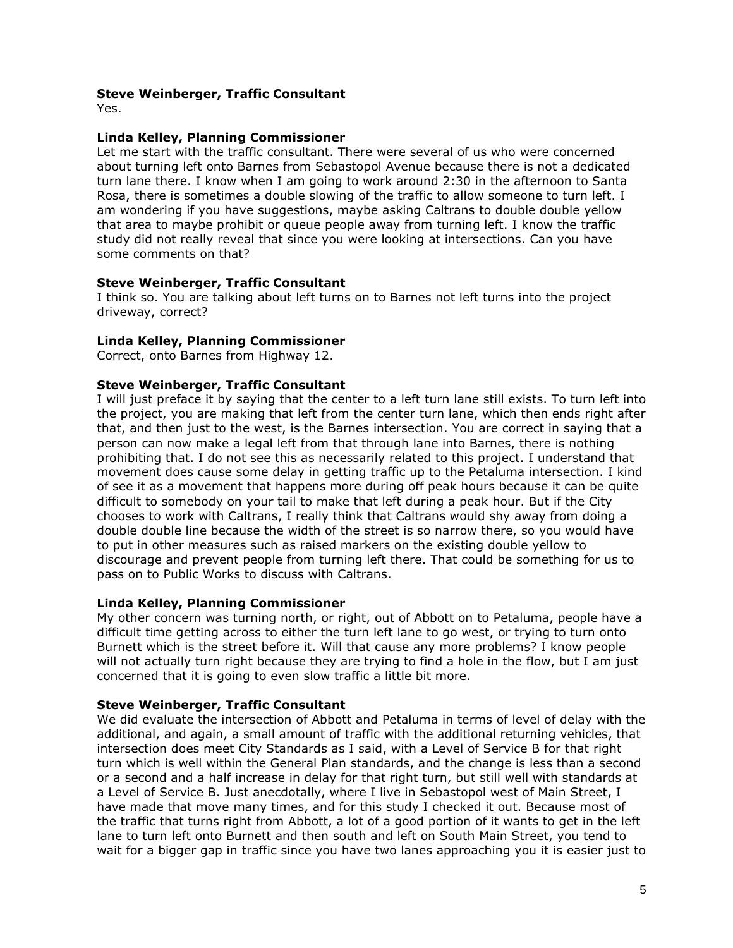### **Steve Weinberger, Traffic Consultant**

Yes.

### **Linda Kelley, Planning Commissioner**

Let me start with the traffic consultant. There were several of us who were concerned about turning left onto Barnes from Sebastopol Avenue because there is not a dedicated turn lane there. I know when I am going to work around 2:30 in the afternoon to Santa Rosa, there is sometimes a double slowing of the traffic to allow someone to turn left. I am wondering if you have suggestions, maybe asking Caltrans to double double yellow that area to maybe prohibit or queue people away from turning left. I know the traffic study did not really reveal that since you were looking at intersections. Can you have some comments on that?

### **Steve Weinberger, Traffic Consultant**

I think so. You are talking about left turns on to Barnes not left turns into the project driveway, correct?

### **Linda Kelley, Planning Commissioner**

Correct, onto Barnes from Highway 12.

# **Steve Weinberger, Traffic Consultant**

I will just preface it by saying that the center to a left turn lane still exists. To turn left into the project, you are making that left from the center turn lane, which then ends right after that, and then just to the west, is the Barnes intersection. You are correct in saying that a person can now make a legal left from that through lane into Barnes, there is nothing prohibiting that. I do not see this as necessarily related to this project. I understand that movement does cause some delay in getting traffic up to the Petaluma intersection. I kind of see it as a movement that happens more during off peak hours because it can be quite difficult to somebody on your tail to make that left during a peak hour. But if the City chooses to work with Caltrans, I really think that Caltrans would shy away from doing a double double line because the width of the street is so narrow there, so you would have to put in other measures such as raised markers on the existing double yellow to discourage and prevent people from turning left there. That could be something for us to pass on to Public Works to discuss with Caltrans.

#### **Linda Kelley, Planning Commissioner**

My other concern was turning north, or right, out of Abbott on to Petaluma, people have a difficult time getting across to either the turn left lane to go west, or trying to turn onto Burnett which is the street before it. Will that cause any more problems? I know people will not actually turn right because they are trying to find a hole in the flow, but I am just concerned that it is going to even slow traffic a little bit more.

#### **Steve Weinberger, Traffic Consultant**

We did evaluate the intersection of Abbott and Petaluma in terms of level of delay with the additional, and again, a small amount of traffic with the additional returning vehicles, that intersection does meet City Standards as I said, with a Level of Service B for that right turn which is well within the General Plan standards, and the change is less than a second or a second and a half increase in delay for that right turn, but still well with standards at a Level of Service B. Just anecdotally, where I live in Sebastopol west of Main Street, I have made that move many times, and for this study I checked it out. Because most of the traffic that turns right from Abbott, a lot of a good portion of it wants to get in the left lane to turn left onto Burnett and then south and left on South Main Street, you tend to wait for a bigger gap in traffic since you have two lanes approaching you it is easier just to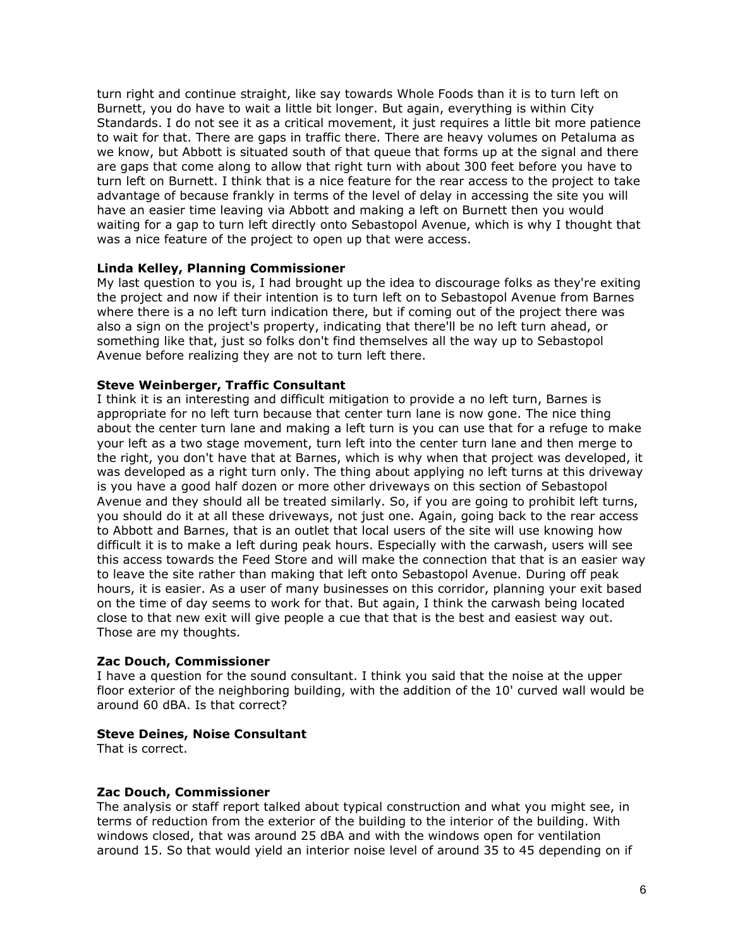turn right and continue straight, like say towards Whole Foods than it is to turn left on Burnett, you do have to wait a little bit longer. But again, everything is within City Standards. I do not see it as a critical movement, it just requires a little bit more patience to wait for that. There are gaps in traffic there. There are heavy volumes on Petaluma as we know, but Abbott is situated south of that queue that forms up at the signal and there are gaps that come along to allow that right turn with about 300 feet before you have to turn left on Burnett. I think that is a nice feature for the rear access to the project to take advantage of because frankly in terms of the level of delay in accessing the site you will have an easier time leaving via Abbott and making a left on Burnett then you would waiting for a gap to turn left directly onto Sebastopol Avenue, which is why I thought that was a nice feature of the project to open up that were access.

### **Linda Kelley, Planning Commissioner**

My last question to you is, I had brought up the idea to discourage folks as they're exiting the project and now if their intention is to turn left on to Sebastopol Avenue from Barnes where there is a no left turn indication there, but if coming out of the project there was also a sign on the project's property, indicating that there'll be no left turn ahead, or something like that, just so folks don't find themselves all the way up to Sebastopol Avenue before realizing they are not to turn left there.

# **Steve Weinberger, Traffic Consultant**

I think it is an interesting and difficult mitigation to provide a no left turn, Barnes is appropriate for no left turn because that center turn lane is now gone. The nice thing about the center turn lane and making a left turn is you can use that for a refuge to make your left as a two stage movement, turn left into the center turn lane and then merge to the right, you don't have that at Barnes, which is why when that project was developed, it was developed as a right turn only. The thing about applying no left turns at this driveway is you have a good half dozen or more other driveways on this section of Sebastopol Avenue and they should all be treated similarly. So, if you are going to prohibit left turns, you should do it at all these driveways, not just one. Again, going back to the rear access to Abbott and Barnes, that is an outlet that local users of the site will use knowing how difficult it is to make a left during peak hours. Especially with the carwash, users will see this access towards the Feed Store and will make the connection that that is an easier way to leave the site rather than making that left onto Sebastopol Avenue. During off peak hours, it is easier. As a user of many businesses on this corridor, planning your exit based on the time of day seems to work for that. But again, I think the carwash being located close to that new exit will give people a cue that that is the best and easiest way out. Those are my thoughts.

#### **Zac Douch, Commissioner**

I have a question for the sound consultant. I think you said that the noise at the upper floor exterior of the neighboring building, with the addition of the 10' curved wall would be around 60 dBA. Is that correct?

#### **Steve Deines, Noise Consultant**

That is correct.

#### **Zac Douch, Commissioner**

The analysis or staff report talked about typical construction and what you might see, in terms of reduction from the exterior of the building to the interior of the building. With windows closed, that was around 25 dBA and with the windows open for ventilation around 15. So that would yield an interior noise level of around 35 to 45 depending on if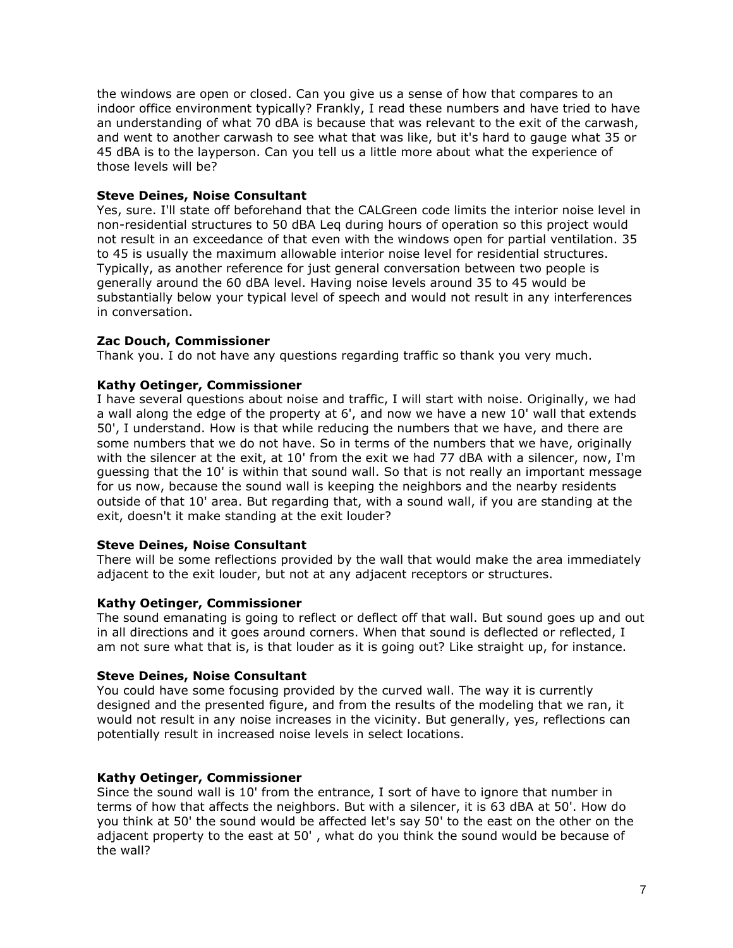the windows are open or closed. Can you give us a sense of how that compares to an indoor office environment typically? Frankly, I read these numbers and have tried to have an understanding of what 70 dBA is because that was relevant to the exit of the carwash, and went to another carwash to see what that was like, but it's hard to gauge what 35 or 45 dBA is to the layperson. Can you tell us a little more about what the experience of those levels will be?

# **Steve Deines, Noise Consultant**

Yes, sure. I'll state off beforehand that the CALGreen code limits the interior noise level in non-residential structures to 50 dBA Leq during hours of operation so this project would not result in an exceedance of that even with the windows open for partial ventilation. 35 to 45 is usually the maximum allowable interior noise level for residential structures. Typically, as another reference for just general conversation between two people is generally around the 60 dBA level. Having noise levels around 35 to 45 would be substantially below your typical level of speech and would not result in any interferences in conversation.

# **Zac Douch, Commissioner**

Thank you. I do not have any questions regarding traffic so thank you very much.

# **Kathy Oetinger, Commissioner**

I have several questions about noise and traffic, I will start with noise. Originally, we had a wall along the edge of the property at 6', and now we have a new 10' wall that extends 50', I understand. How is that while reducing the numbers that we have, and there are some numbers that we do not have. So in terms of the numbers that we have, originally with the silencer at the exit, at 10' from the exit we had 77 dBA with a silencer, now, I'm guessing that the 10' is within that sound wall. So that is not really an important message for us now, because the sound wall is keeping the neighbors and the nearby residents outside of that 10' area. But regarding that, with a sound wall, if you are standing at the exit, doesn't it make standing at the exit louder?

# **Steve Deines, Noise Consultant**

There will be some reflections provided by the wall that would make the area immediately adjacent to the exit louder, but not at any adjacent receptors or structures.

# **Kathy Oetinger, Commissioner**

The sound emanating is going to reflect or deflect off that wall. But sound goes up and out in all directions and it goes around corners. When that sound is deflected or reflected, I am not sure what that is, is that louder as it is going out? Like straight up, for instance.

# **Steve Deines, Noise Consultant**

You could have some focusing provided by the curved wall. The way it is currently designed and the presented figure, and from the results of the modeling that we ran, it would not result in any noise increases in the vicinity. But generally, yes, reflections can potentially result in increased noise levels in select locations.

# **Kathy Oetinger, Commissioner**

Since the sound wall is 10' from the entrance, I sort of have to ignore that number in terms of how that affects the neighbors. But with a silencer, it is 63 dBA at 50'. How do you think at 50' the sound would be affected let's say 50' to the east on the other on the adjacent property to the east at 50' , what do you think the sound would be because of the wall?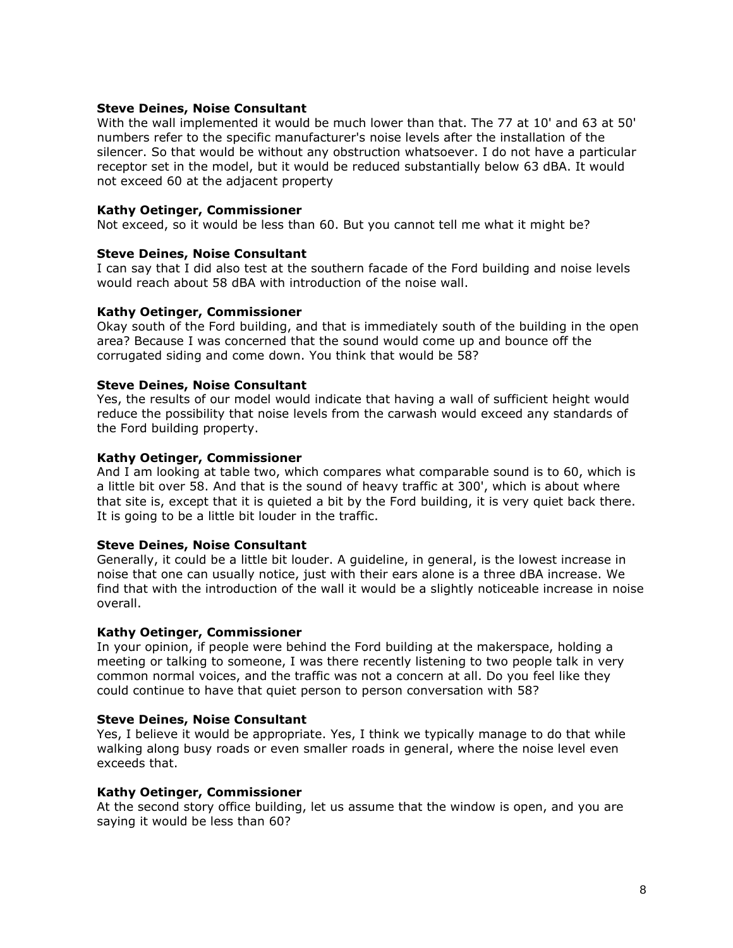### **Steve Deines, Noise Consultant**

With the wall implemented it would be much lower than that. The 77 at 10' and 63 at 50' numbers refer to the specific manufacturer's noise levels after the installation of the silencer. So that would be without any obstruction whatsoever. I do not have a particular receptor set in the model, but it would be reduced substantially below 63 dBA. It would not exceed 60 at the adjacent property

### **Kathy Oetinger, Commissioner**

Not exceed, so it would be less than 60. But you cannot tell me what it might be?

### **Steve Deines, Noise Consultant**

I can say that I did also test at the southern facade of the Ford building and noise levels would reach about 58 dBA with introduction of the noise wall.

### **Kathy Oetinger, Commissioner**

Okay south of the Ford building, and that is immediately south of the building in the open area? Because I was concerned that the sound would come up and bounce off the corrugated siding and come down. You think that would be 58?

### **Steve Deines, Noise Consultant**

Yes, the results of our model would indicate that having a wall of sufficient height would reduce the possibility that noise levels from the carwash would exceed any standards of the Ford building property.

### **Kathy Oetinger, Commissioner**

And I am looking at table two, which compares what comparable sound is to 60, which is a little bit over 58. And that is the sound of heavy traffic at 300', which is about where that site is, except that it is quieted a bit by the Ford building, it is very quiet back there. It is going to be a little bit louder in the traffic.

#### **Steve Deines, Noise Consultant**

Generally, it could be a little bit louder. A guideline, in general, is the lowest increase in noise that one can usually notice, just with their ears alone is a three dBA increase. We find that with the introduction of the wall it would be a slightly noticeable increase in noise overall.

#### **Kathy Oetinger, Commissioner**

In your opinion, if people were behind the Ford building at the makerspace, holding a meeting or talking to someone, I was there recently listening to two people talk in very common normal voices, and the traffic was not a concern at all. Do you feel like they could continue to have that quiet person to person conversation with 58?

# **Steve Deines, Noise Consultant**

Yes, I believe it would be appropriate. Yes, I think we typically manage to do that while walking along busy roads or even smaller roads in general, where the noise level even exceeds that.

#### **Kathy Oetinger, Commissioner**

At the second story office building, let us assume that the window is open, and you are saying it would be less than 60?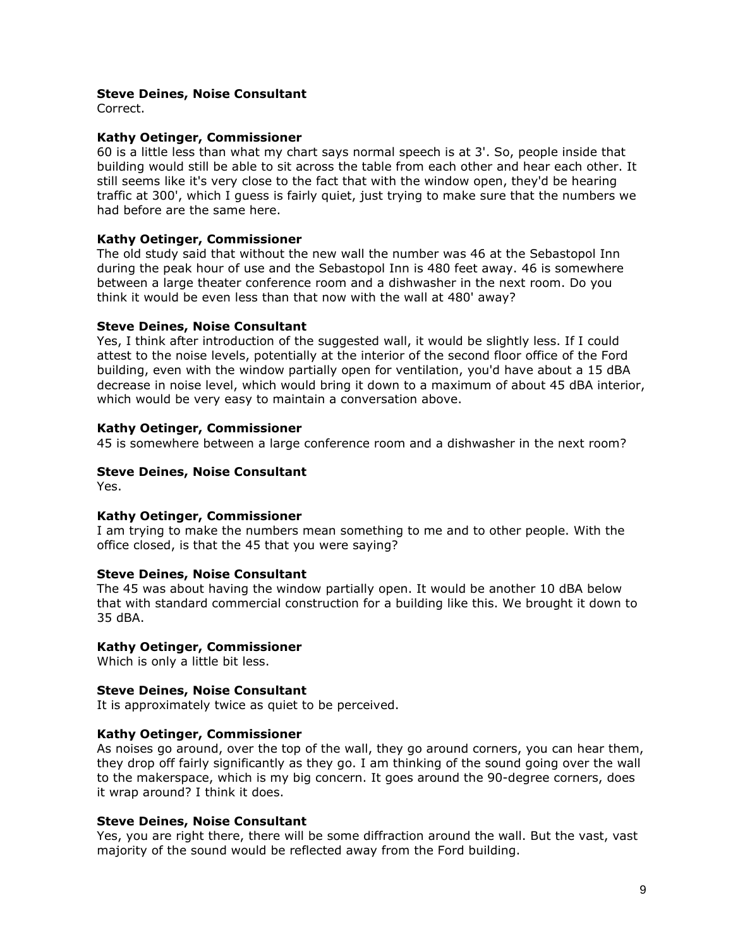### **Steve Deines, Noise Consultant**

Correct.

### **Kathy Oetinger, Commissioner**

60 is a little less than what my chart says normal speech is at 3'. So, people inside that building would still be able to sit across the table from each other and hear each other. It still seems like it's very close to the fact that with the window open, they'd be hearing traffic at 300', which I guess is fairly quiet, just trying to make sure that the numbers we had before are the same here.

### **Kathy Oetinger, Commissioner**

The old study said that without the new wall the number was 46 at the Sebastopol Inn during the peak hour of use and the Sebastopol Inn is 480 feet away. 46 is somewhere between a large theater conference room and a dishwasher in the next room. Do you think it would be even less than that now with the wall at 480' away?

### **Steve Deines, Noise Consultant**

Yes, I think after introduction of the suggested wall, it would be slightly less. If I could attest to the noise levels, potentially at the interior of the second floor office of the Ford building, even with the window partially open for ventilation, you'd have about a 15 dBA decrease in noise level, which would bring it down to a maximum of about 45 dBA interior, which would be very easy to maintain a conversation above.

### **Kathy Oetinger, Commissioner**

45 is somewhere between a large conference room and a dishwasher in the next room?

### **Steve Deines, Noise Consultant**

Yes.

#### **Kathy Oetinger, Commissioner**

I am trying to make the numbers mean something to me and to other people. With the office closed, is that the 45 that you were saying?

#### **Steve Deines, Noise Consultant**

The 45 was about having the window partially open. It would be another 10 dBA below that with standard commercial construction for a building like this. We brought it down to 35 dBA.

#### **Kathy Oetinger, Commissioner**

Which is only a little bit less.

### **Steve Deines, Noise Consultant**

It is approximately twice as quiet to be perceived.

#### **Kathy Oetinger, Commissioner**

As noises go around, over the top of the wall, they go around corners, you can hear them, they drop off fairly significantly as they go. I am thinking of the sound going over the wall to the makerspace, which is my big concern. It goes around the 90-degree corners, does it wrap around? I think it does.

#### **Steve Deines, Noise Consultant**

Yes, you are right there, there will be some diffraction around the wall. But the vast, vast majority of the sound would be reflected away from the Ford building.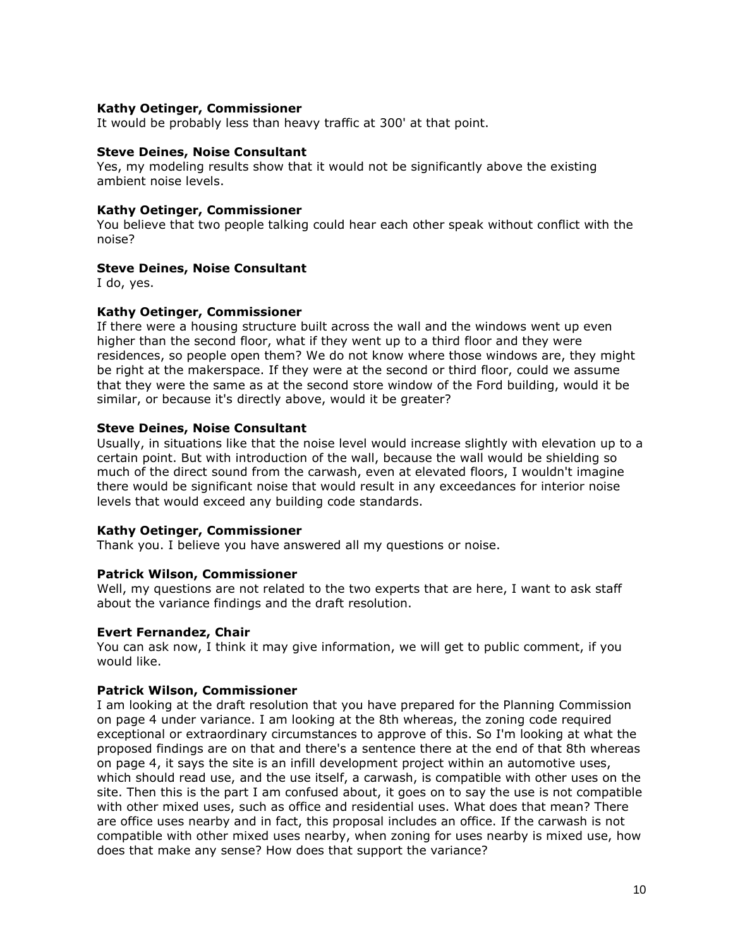### **Kathy Oetinger, Commissioner**

It would be probably less than heavy traffic at 300' at that point.

### **Steve Deines, Noise Consultant**

Yes, my modeling results show that it would not be significantly above the existing ambient noise levels.

### **Kathy Oetinger, Commissioner**

You believe that two people talking could hear each other speak without conflict with the noise?

### **Steve Deines, Noise Consultant**

I do, yes.

### **Kathy Oetinger, Commissioner**

If there were a housing structure built across the wall and the windows went up even higher than the second floor, what if they went up to a third floor and they were residences, so people open them? We do not know where those windows are, they might be right at the makerspace. If they were at the second or third floor, could we assume that they were the same as at the second store window of the Ford building, would it be similar, or because it's directly above, would it be greater?

### **Steve Deines, Noise Consultant**

Usually, in situations like that the noise level would increase slightly with elevation up to a certain point. But with introduction of the wall, because the wall would be shielding so much of the direct sound from the carwash, even at elevated floors, I wouldn't imagine there would be significant noise that would result in any exceedances for interior noise levels that would exceed any building code standards.

#### **Kathy Oetinger, Commissioner**

Thank you. I believe you have answered all my questions or noise.

#### **Patrick Wilson, Commissioner**

Well, my questions are not related to the two experts that are here, I want to ask staff about the variance findings and the draft resolution.

#### **Evert Fernandez, Chair**

You can ask now, I think it may give information, we will get to public comment, if you would like.

### **Patrick Wilson, Commissioner**

I am looking at the draft resolution that you have prepared for the Planning Commission on page 4 under variance. I am looking at the 8th whereas, the zoning code required exceptional or extraordinary circumstances to approve of this. So I'm looking at what the proposed findings are on that and there's a sentence there at the end of that 8th whereas on page 4, it says the site is an infill development project within an automotive uses, which should read use, and the use itself, a carwash, is compatible with other uses on the site. Then this is the part I am confused about, it goes on to say the use is not compatible with other mixed uses, such as office and residential uses. What does that mean? There are office uses nearby and in fact, this proposal includes an office. If the carwash is not compatible with other mixed uses nearby, when zoning for uses nearby is mixed use, how does that make any sense? How does that support the variance?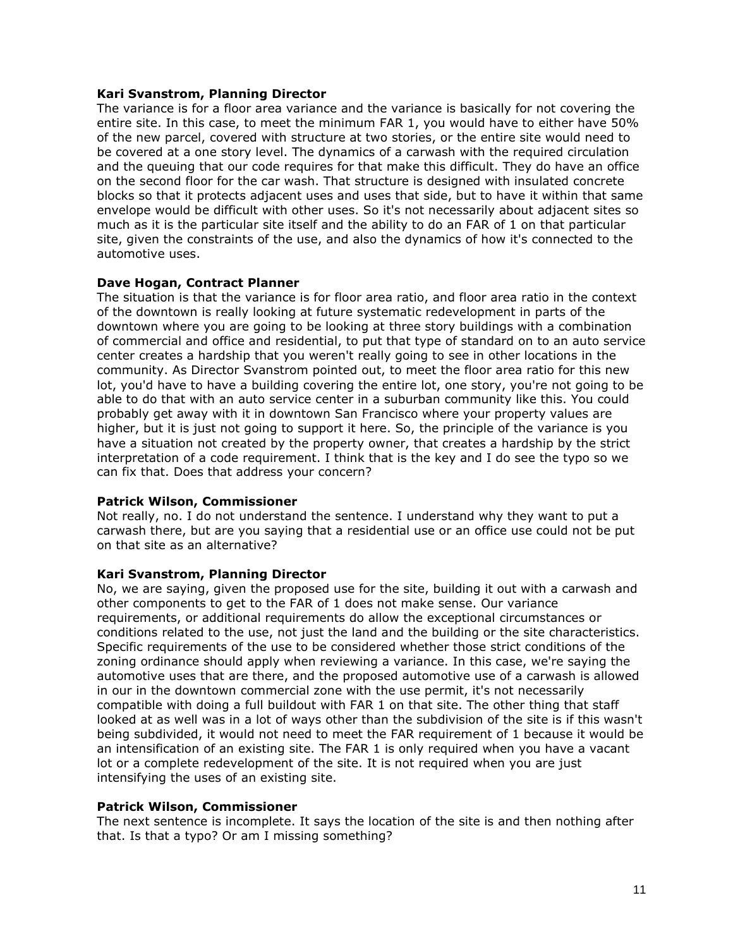### **Kari Svanstrom, Planning Director**

The variance is for a floor area variance and the variance is basically for not covering the entire site. In this case, to meet the minimum FAR 1, you would have to either have 50% of the new parcel, covered with structure at two stories, or the entire site would need to be covered at a one story level. The dynamics of a carwash with the required circulation and the queuing that our code requires for that make this difficult. They do have an office on the second floor for the car wash. That structure is designed with insulated concrete blocks so that it protects adjacent uses and uses that side, but to have it within that same envelope would be difficult with other uses. So it's not necessarily about adjacent sites so much as it is the particular site itself and the ability to do an FAR of 1 on that particular site, given the constraints of the use, and also the dynamics of how it's connected to the automotive uses.

# **Dave Hogan, Contract Planner**

The situation is that the variance is for floor area ratio, and floor area ratio in the context of the downtown is really looking at future systematic redevelopment in parts of the downtown where you are going to be looking at three story buildings with a combination of commercial and office and residential, to put that type of standard on to an auto service center creates a hardship that you weren't really going to see in other locations in the community. As Director Svanstrom pointed out, to meet the floor area ratio for this new lot, you'd have to have a building covering the entire lot, one story, you're not going to be able to do that with an auto service center in a suburban community like this. You could probably get away with it in downtown San Francisco where your property values are higher, but it is just not going to support it here. So, the principle of the variance is you have a situation not created by the property owner, that creates a hardship by the strict interpretation of a code requirement. I think that is the key and I do see the typo so we can fix that. Does that address your concern?

#### **Patrick Wilson, Commissioner**

Not really, no. I do not understand the sentence. I understand why they want to put a carwash there, but are you saying that a residential use or an office use could not be put on that site as an alternative?

# **Kari Svanstrom, Planning Director**

No, we are saying, given the proposed use for the site, building it out with a carwash and other components to get to the FAR of 1 does not make sense. Our variance requirements, or additional requirements do allow the exceptional circumstances or conditions related to the use, not just the land and the building or the site characteristics. Specific requirements of the use to be considered whether those strict conditions of the zoning ordinance should apply when reviewing a variance. In this case, we're saying the automotive uses that are there, and the proposed automotive use of a carwash is allowed in our in the downtown commercial zone with the use permit, it's not necessarily compatible with doing a full buildout with FAR 1 on that site. The other thing that staff looked at as well was in a lot of ways other than the subdivision of the site is if this wasn't being subdivided, it would not need to meet the FAR requirement of 1 because it would be an intensification of an existing site. The FAR 1 is only required when you have a vacant lot or a complete redevelopment of the site. It is not required when you are just intensifying the uses of an existing site.

# **Patrick Wilson, Commissioner**

The next sentence is incomplete. It says the location of the site is and then nothing after that. Is that a typo? Or am I missing something?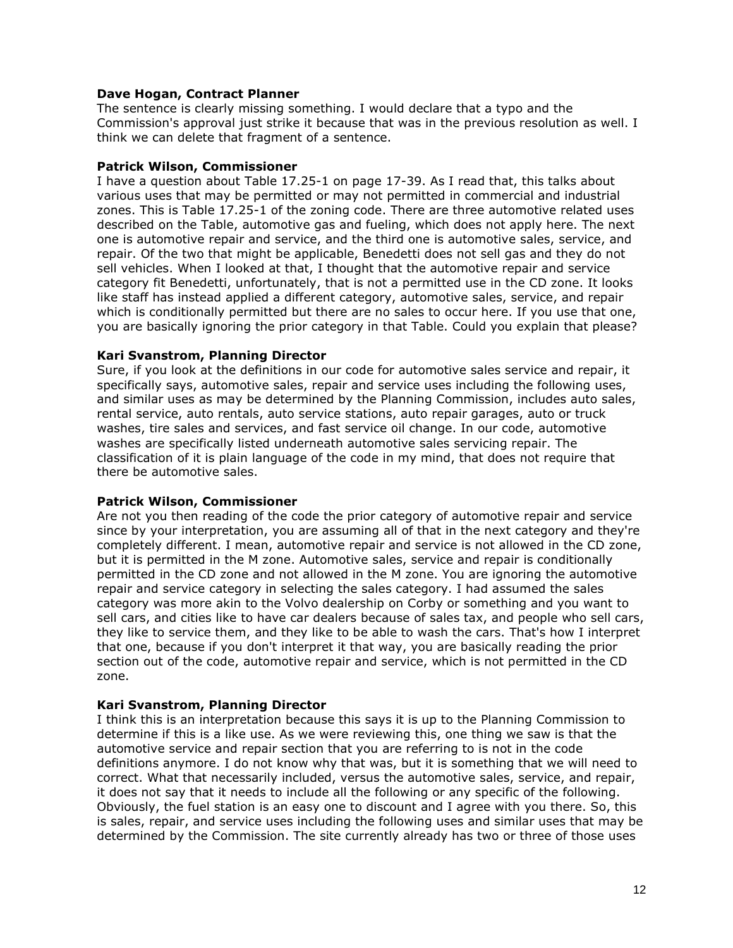### **Dave Hogan, Contract Planner**

The sentence is clearly missing something. I would declare that a typo and the Commission's approval just strike it because that was in the previous resolution as well. I think we can delete that fragment of a sentence.

### **Patrick Wilson, Commissioner**

I have a question about Table 17.25-1 on page 17-39. As I read that, this talks about various uses that may be permitted or may not permitted in commercial and industrial zones. This is Table 17.25-1 of the zoning code. There are three automotive related uses described on the Table, automotive gas and fueling, which does not apply here. The next one is automotive repair and service, and the third one is automotive sales, service, and repair. Of the two that might be applicable, Benedetti does not sell gas and they do not sell vehicles. When I looked at that, I thought that the automotive repair and service category fit Benedetti, unfortunately, that is not a permitted use in the CD zone. It looks like staff has instead applied a different category, automotive sales, service, and repair which is conditionally permitted but there are no sales to occur here. If you use that one, you are basically ignoring the prior category in that Table. Could you explain that please?

# **Kari Svanstrom, Planning Director**

Sure, if you look at the definitions in our code for automotive sales service and repair, it specifically says, automotive sales, repair and service uses including the following uses, and similar uses as may be determined by the Planning Commission, includes auto sales, rental service, auto rentals, auto service stations, auto repair garages, auto or truck washes, tire sales and services, and fast service oil change. In our code, automotive washes are specifically listed underneath automotive sales servicing repair. The classification of it is plain language of the code in my mind, that does not require that there be automotive sales.

# **Patrick Wilson, Commissioner**

Are not you then reading of the code the prior category of automotive repair and service since by your interpretation, you are assuming all of that in the next category and they're completely different. I mean, automotive repair and service is not allowed in the CD zone, but it is permitted in the M zone. Automotive sales, service and repair is conditionally permitted in the CD zone and not allowed in the M zone. You are ignoring the automotive repair and service category in selecting the sales category. I had assumed the sales category was more akin to the Volvo dealership on Corby or something and you want to sell cars, and cities like to have car dealers because of sales tax, and people who sell cars, they like to service them, and they like to be able to wash the cars. That's how I interpret that one, because if you don't interpret it that way, you are basically reading the prior section out of the code, automotive repair and service, which is not permitted in the CD zone.

# **Kari Svanstrom, Planning Director**

I think this is an interpretation because this says it is up to the Planning Commission to determine if this is a like use. As we were reviewing this, one thing we saw is that the automotive service and repair section that you are referring to is not in the code definitions anymore. I do not know why that was, but it is something that we will need to correct. What that necessarily included, versus the automotive sales, service, and repair, it does not say that it needs to include all the following or any specific of the following. Obviously, the fuel station is an easy one to discount and I agree with you there. So, this is sales, repair, and service uses including the following uses and similar uses that may be determined by the Commission. The site currently already has two or three of those uses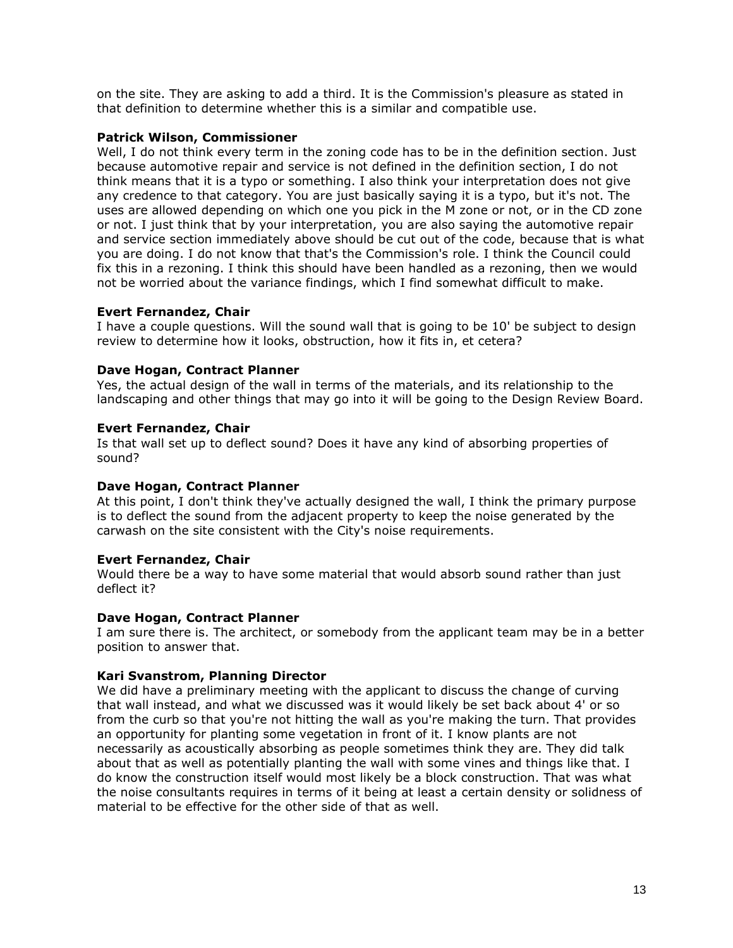on the site. They are asking to add a third. It is the Commission's pleasure as stated in that definition to determine whether this is a similar and compatible use.

### **Patrick Wilson, Commissioner**

Well, I do not think every term in the zoning code has to be in the definition section. Just because automotive repair and service is not defined in the definition section, I do not think means that it is a typo or something. I also think your interpretation does not give any credence to that category. You are just basically saying it is a typo, but it's not. The uses are allowed depending on which one you pick in the M zone or not, or in the CD zone or not. I just think that by your interpretation, you are also saying the automotive repair and service section immediately above should be cut out of the code, because that is what you are doing. I do not know that that's the Commission's role. I think the Council could fix this in a rezoning. I think this should have been handled as a rezoning, then we would not be worried about the variance findings, which I find somewhat difficult to make.

# **Evert Fernandez, Chair**

I have a couple questions. Will the sound wall that is going to be 10' be subject to design review to determine how it looks, obstruction, how it fits in, et cetera?

# **Dave Hogan, Contract Planner**

Yes, the actual design of the wall in terms of the materials, and its relationship to the landscaping and other things that may go into it will be going to the Design Review Board.

# **Evert Fernandez, Chair**

Is that wall set up to deflect sound? Does it have any kind of absorbing properties of sound?

# **Dave Hogan, Contract Planner**

At this point, I don't think they've actually designed the wall, I think the primary purpose is to deflect the sound from the adjacent property to keep the noise generated by the carwash on the site consistent with the City's noise requirements.

# **Evert Fernandez, Chair**

Would there be a way to have some material that would absorb sound rather than just deflect it?

# **Dave Hogan, Contract Planner**

I am sure there is. The architect, or somebody from the applicant team may be in a better position to answer that.

# **Kari Svanstrom, Planning Director**

We did have a preliminary meeting with the applicant to discuss the change of curving that wall instead, and what we discussed was it would likely be set back about 4' or so from the curb so that you're not hitting the wall as you're making the turn. That provides an opportunity for planting some vegetation in front of it. I know plants are not necessarily as acoustically absorbing as people sometimes think they are. They did talk about that as well as potentially planting the wall with some vines and things like that. I do know the construction itself would most likely be a block construction. That was what the noise consultants requires in terms of it being at least a certain density or solidness of material to be effective for the other side of that as well.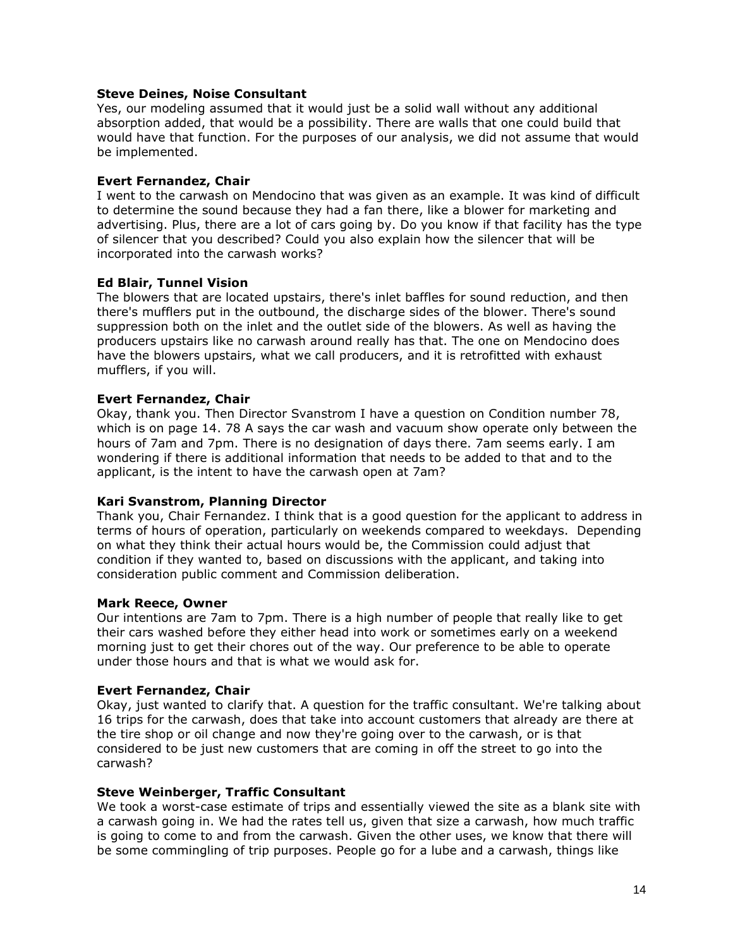### **Steve Deines, Noise Consultant**

Yes, our modeling assumed that it would just be a solid wall without any additional absorption added, that would be a possibility. There are walls that one could build that would have that function. For the purposes of our analysis, we did not assume that would be implemented.

### **Evert Fernandez, Chair**

I went to the carwash on Mendocino that was given as an example. It was kind of difficult to determine the sound because they had a fan there, like a blower for marketing and advertising. Plus, there are a lot of cars going by. Do you know if that facility has the type of silencer that you described? Could you also explain how the silencer that will be incorporated into the carwash works?

### **Ed Blair, Tunnel Vision**

The blowers that are located upstairs, there's inlet baffles for sound reduction, and then there's mufflers put in the outbound, the discharge sides of the blower. There's sound suppression both on the inlet and the outlet side of the blowers. As well as having the producers upstairs like no carwash around really has that. The one on Mendocino does have the blowers upstairs, what we call producers, and it is retrofitted with exhaust mufflers, if you will.

### **Evert Fernandez, Chair**

Okay, thank you. Then Director Svanstrom I have a question on Condition number 78, which is on page 14. 78 A says the car wash and vacuum show operate only between the hours of 7am and 7pm. There is no designation of days there. 7am seems early. I am wondering if there is additional information that needs to be added to that and to the applicant, is the intent to have the carwash open at 7am?

# **Kari Svanstrom, Planning Director**

Thank you, Chair Fernandez. I think that is a good question for the applicant to address in terms of hours of operation, particularly on weekends compared to weekdays. Depending on what they think their actual hours would be, the Commission could adjust that condition if they wanted to, based on discussions with the applicant, and taking into consideration public comment and Commission deliberation.

#### **Mark Reece, Owner**

Our intentions are 7am to 7pm. There is a high number of people that really like to get their cars washed before they either head into work or sometimes early on a weekend morning just to get their chores out of the way. Our preference to be able to operate under those hours and that is what we would ask for.

# **Evert Fernandez, Chair**

Okay, just wanted to clarify that. A question for the traffic consultant. We're talking about 16 trips for the carwash, does that take into account customers that already are there at the tire shop or oil change and now they're going over to the carwash, or is that considered to be just new customers that are coming in off the street to go into the carwash?

#### **Steve Weinberger, Traffic Consultant**

We took a worst-case estimate of trips and essentially viewed the site as a blank site with a carwash going in. We had the rates tell us, given that size a carwash, how much traffic is going to come to and from the carwash. Given the other uses, we know that there will be some commingling of trip purposes. People go for a lube and a carwash, things like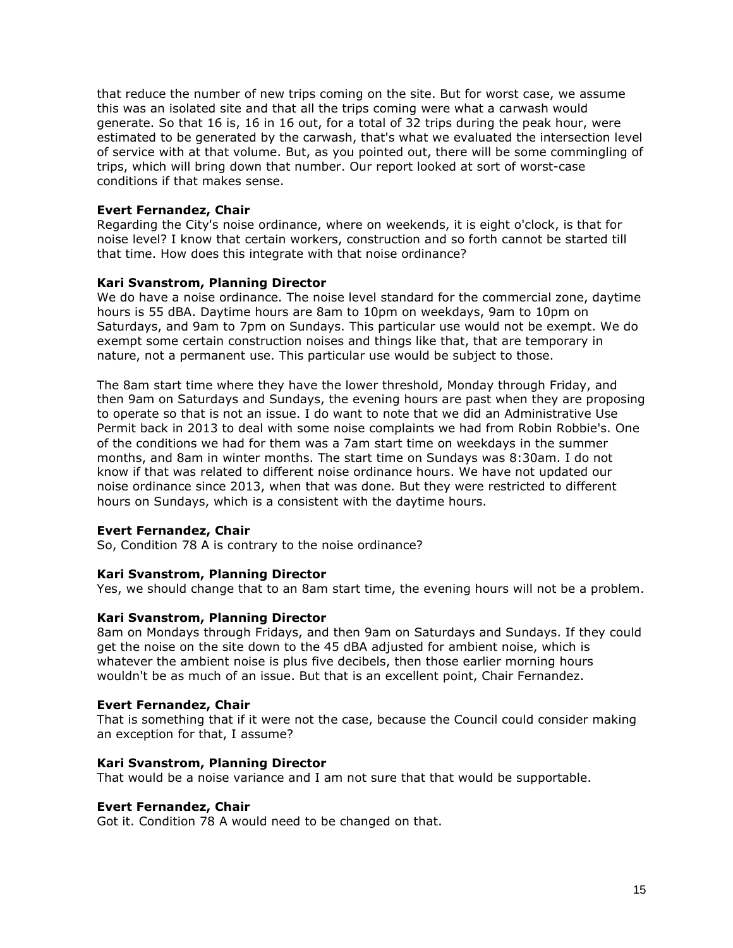that reduce the number of new trips coming on the site. But for worst case, we assume this was an isolated site and that all the trips coming were what a carwash would generate. So that 16 is, 16 in 16 out, for a total of 32 trips during the peak hour, were estimated to be generated by the carwash, that's what we evaluated the intersection level of service with at that volume. But, as you pointed out, there will be some commingling of trips, which will bring down that number. Our report looked at sort of worst-case conditions if that makes sense.

# **Evert Fernandez, Chair**

Regarding the City's noise ordinance, where on weekends, it is eight o'clock, is that for noise level? I know that certain workers, construction and so forth cannot be started till that time. How does this integrate with that noise ordinance?

# **Kari Svanstrom, Planning Director**

We do have a noise ordinance. The noise level standard for the commercial zone, daytime hours is 55 dBA. Daytime hours are 8am to 10pm on weekdays, 9am to 10pm on Saturdays, and 9am to 7pm on Sundays. This particular use would not be exempt. We do exempt some certain construction noises and things like that, that are temporary in nature, not a permanent use. This particular use would be subject to those.

The 8am start time where they have the lower threshold, Monday through Friday, and then 9am on Saturdays and Sundays, the evening hours are past when they are proposing to operate so that is not an issue. I do want to note that we did an Administrative Use Permit back in 2013 to deal with some noise complaints we had from Robin Robbie's. One of the conditions we had for them was a 7am start time on weekdays in the summer months, and 8am in winter months. The start time on Sundays was 8:30am. I do not know if that was related to different noise ordinance hours. We have not updated our noise ordinance since 2013, when that was done. But they were restricted to different hours on Sundays, which is a consistent with the daytime hours.

# **Evert Fernandez, Chair**

So, Condition 78 A is contrary to the noise ordinance?

# **Kari Svanstrom, Planning Director**

Yes, we should change that to an 8am start time, the evening hours will not be a problem.

# **Kari Svanstrom, Planning Director**

8am on Mondays through Fridays, and then 9am on Saturdays and Sundays. If they could get the noise on the site down to the 45 dBA adjusted for ambient noise, which is whatever the ambient noise is plus five decibels, then those earlier morning hours wouldn't be as much of an issue. But that is an excellent point, Chair Fernandez.

# **Evert Fernandez, Chair**

That is something that if it were not the case, because the Council could consider making an exception for that, I assume?

# **Kari Svanstrom, Planning Director**

That would be a noise variance and I am not sure that that would be supportable.

# **Evert Fernandez, Chair**

Got it. Condition 78 A would need to be changed on that.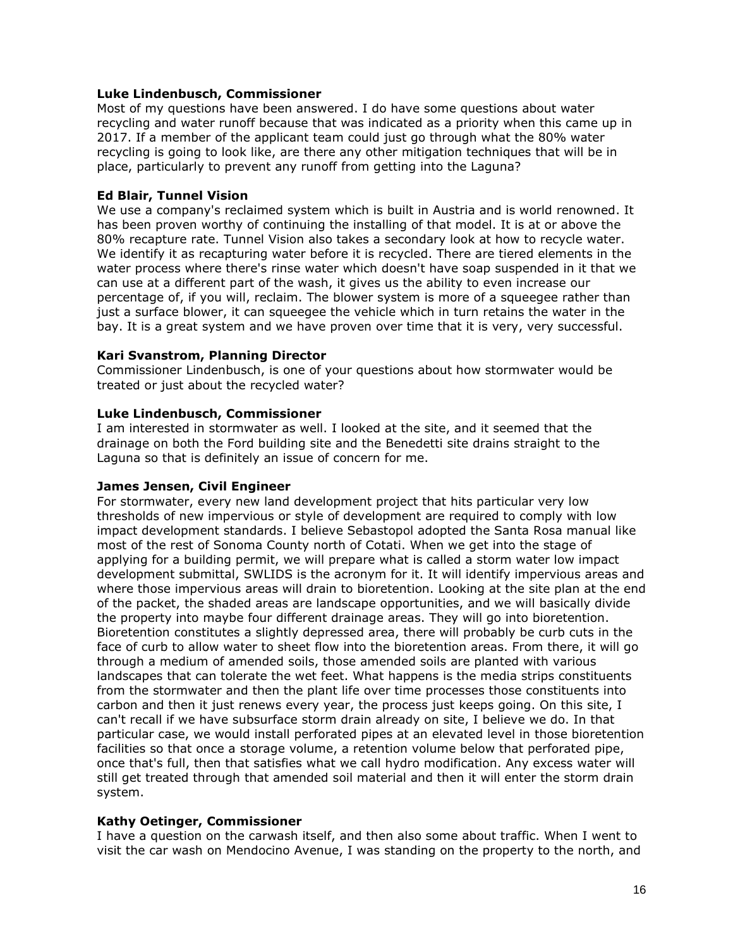### **Luke Lindenbusch, Commissioner**

Most of my questions have been answered. I do have some questions about water recycling and water runoff because that was indicated as a priority when this came up in 2017. If a member of the applicant team could just go through what the 80% water recycling is going to look like, are there any other mitigation techniques that will be in place, particularly to prevent any runoff from getting into the Laguna?

# **Ed Blair, Tunnel Vision**

We use a company's reclaimed system which is built in Austria and is world renowned. It has been proven worthy of continuing the installing of that model. It is at or above the 80% recapture rate. Tunnel Vision also takes a secondary look at how to recycle water. We identify it as recapturing water before it is recycled. There are tiered elements in the water process where there's rinse water which doesn't have soap suspended in it that we can use at a different part of the wash, it gives us the ability to even increase our percentage of, if you will, reclaim. The blower system is more of a squeegee rather than just a surface blower, it can squeegee the vehicle which in turn retains the water in the bay. It is a great system and we have proven over time that it is very, very successful.

### **Kari Svanstrom, Planning Director**

Commissioner Lindenbusch, is one of your questions about how stormwater would be treated or just about the recycled water?

### **Luke Lindenbusch, Commissioner**

I am interested in stormwater as well. I looked at the site, and it seemed that the drainage on both the Ford building site and the Benedetti site drains straight to the Laguna so that is definitely an issue of concern for me.

# **James Jensen, Civil Engineer**

For stormwater, every new land development project that hits particular very low thresholds of new impervious or style of development are required to comply with low impact development standards. I believe Sebastopol adopted the Santa Rosa manual like most of the rest of Sonoma County north of Cotati. When we get into the stage of applying for a building permit, we will prepare what is called a storm water low impact development submittal, SWLIDS is the acronym for it. It will identify impervious areas and where those impervious areas will drain to bioretention. Looking at the site plan at the end of the packet, the shaded areas are landscape opportunities, and we will basically divide the property into maybe four different drainage areas. They will go into bioretention. Bioretention constitutes a slightly depressed area, there will probably be curb cuts in the face of curb to allow water to sheet flow into the bioretention areas. From there, it will go through a medium of amended soils, those amended soils are planted with various landscapes that can tolerate the wet feet. What happens is the media strips constituents from the stormwater and then the plant life over time processes those constituents into carbon and then it just renews every year, the process just keeps going. On this site, I can't recall if we have subsurface storm drain already on site, I believe we do. In that particular case, we would install perforated pipes at an elevated level in those bioretention facilities so that once a storage volume, a retention volume below that perforated pipe, once that's full, then that satisfies what we call hydro modification. Any excess water will still get treated through that amended soil material and then it will enter the storm drain system.

#### **Kathy Oetinger, Commissioner**

I have a question on the carwash itself, and then also some about traffic. When I went to visit the car wash on Mendocino Avenue, I was standing on the property to the north, and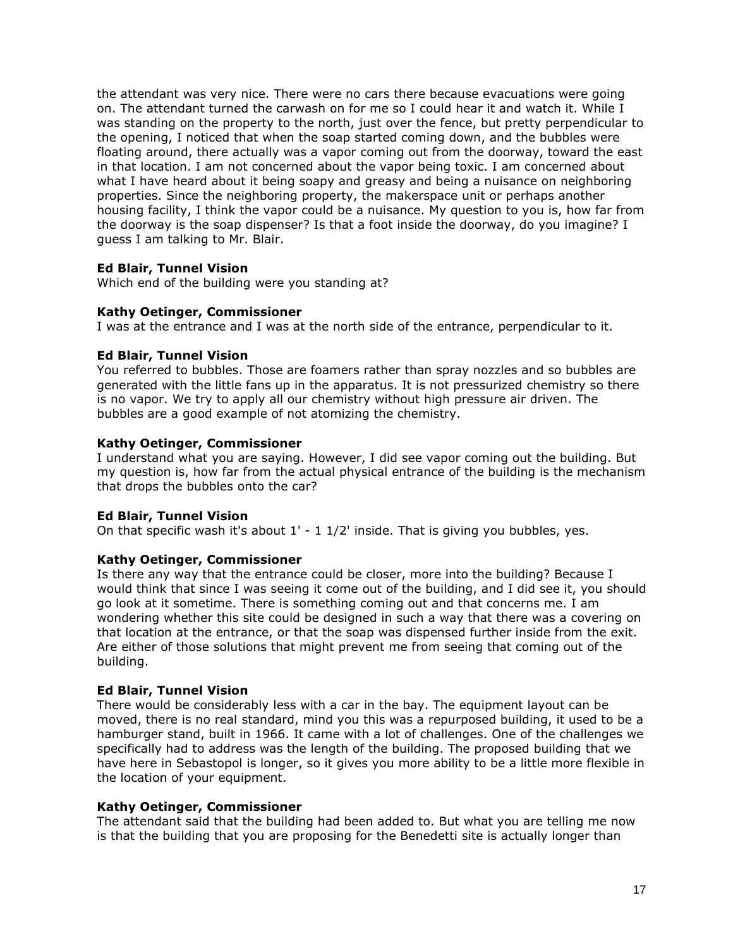the attendant was very nice. There were no cars there because evacuations were going on. The attendant turned the carwash on for me so I could hear it and watch it. While I was standing on the property to the north, just over the fence, but pretty perpendicular to the opening, I noticed that when the soap started coming down, and the bubbles were floating around, there actually was a vapor coming out from the doorway, toward the east in that location. I am not concerned about the vapor being toxic. I am concerned about what I have heard about it being soapy and greasy and being a nuisance on neighboring properties. Since the neighboring property, the makerspace unit or perhaps another housing facility, I think the vapor could be a nuisance. My question to you is, how far from the doorway is the soap dispenser? Is that a foot inside the doorway, do you imagine? I guess I am talking to Mr. Blair.

# **Ed Blair, Tunnel Vision**

Which end of the building were you standing at?

# **Kathy Oetinger, Commissioner**

I was at the entrance and I was at the north side of the entrance, perpendicular to it.

# **Ed Blair, Tunnel Vision**

You referred to bubbles. Those are foamers rather than spray nozzles and so bubbles are generated with the little fans up in the apparatus. It is not pressurized chemistry so there is no vapor. We try to apply all our chemistry without high pressure air driven. The bubbles are a good example of not atomizing the chemistry.

# **Kathy Oetinger, Commissioner**

I understand what you are saying. However, I did see vapor coming out the building. But my question is, how far from the actual physical entrance of the building is the mechanism that drops the bubbles onto the car?

# **Ed Blair, Tunnel Vision**

On that specific wash it's about  $1'$  -  $1$   $1/2'$  inside. That is giving you bubbles, yes.

# **Kathy Oetinger, Commissioner**

Is there any way that the entrance could be closer, more into the building? Because I would think that since I was seeing it come out of the building, and I did see it, you should go look at it sometime. There is something coming out and that concerns me. I am wondering whether this site could be designed in such a way that there was a covering on that location at the entrance, or that the soap was dispensed further inside from the exit. Are either of those solutions that might prevent me from seeing that coming out of the building.

# **Ed Blair, Tunnel Vision**

There would be considerably less with a car in the bay. The equipment layout can be moved, there is no real standard, mind you this was a repurposed building, it used to be a hamburger stand, built in 1966. It came with a lot of challenges. One of the challenges we specifically had to address was the length of the building. The proposed building that we have here in Sebastopol is longer, so it gives you more ability to be a little more flexible in the location of your equipment.

# **Kathy Oetinger, Commissioner**

The attendant said that the building had been added to. But what you are telling me now is that the building that you are proposing for the Benedetti site is actually longer than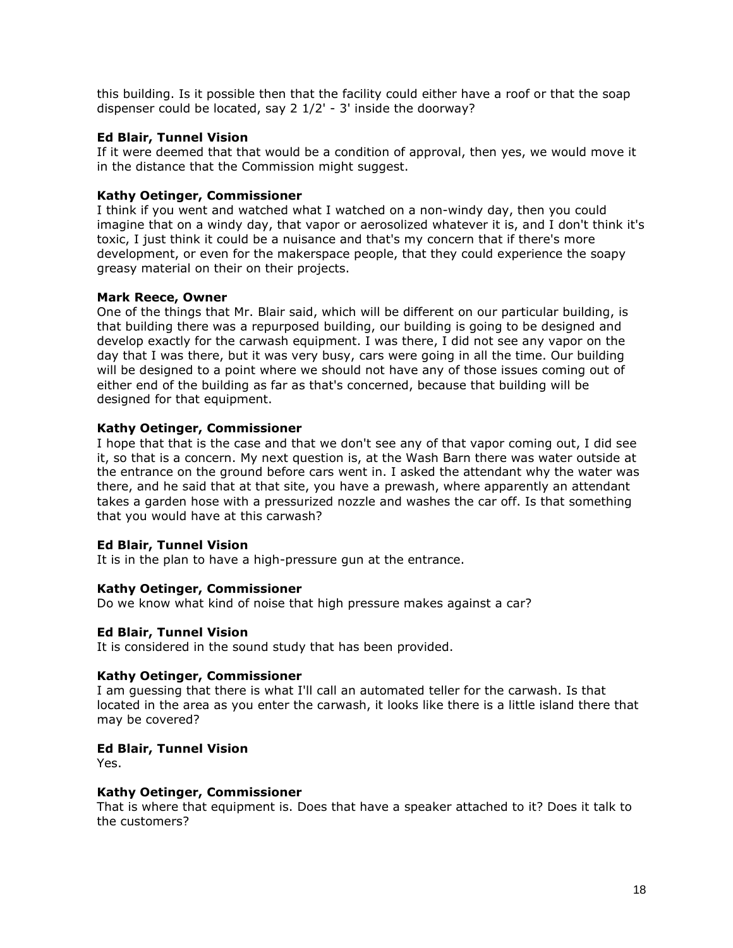this building. Is it possible then that the facility could either have a roof or that the soap dispenser could be located, say 2 1/2' - 3' inside the doorway?

### **Ed Blair, Tunnel Vision**

If it were deemed that that would be a condition of approval, then yes, we would move it in the distance that the Commission might suggest.

### **Kathy Oetinger, Commissioner**

I think if you went and watched what I watched on a non-windy day, then you could imagine that on a windy day, that vapor or aerosolized whatever it is, and I don't think it's toxic, I just think it could be a nuisance and that's my concern that if there's more development, or even for the makerspace people, that they could experience the soapy greasy material on their on their projects.

### **Mark Reece, Owner**

One of the things that Mr. Blair said, which will be different on our particular building, is that building there was a repurposed building, our building is going to be designed and develop exactly for the carwash equipment. I was there, I did not see any vapor on the day that I was there, but it was very busy, cars were going in all the time. Our building will be designed to a point where we should not have any of those issues coming out of either end of the building as far as that's concerned, because that building will be designed for that equipment.

# **Kathy Oetinger, Commissioner**

I hope that that is the case and that we don't see any of that vapor coming out, I did see it, so that is a concern. My next question is, at the Wash Barn there was water outside at the entrance on the ground before cars went in. I asked the attendant why the water was there, and he said that at that site, you have a prewash, where apparently an attendant takes a garden hose with a pressurized nozzle and washes the car off. Is that something that you would have at this carwash?

# **Ed Blair, Tunnel Vision**

It is in the plan to have a high-pressure gun at the entrance.

# **Kathy Oetinger, Commissioner**

Do we know what kind of noise that high pressure makes against a car?

# **Ed Blair, Tunnel Vision**

It is considered in the sound study that has been provided.

# **Kathy Oetinger, Commissioner**

I am guessing that there is what I'll call an automated teller for the carwash. Is that located in the area as you enter the carwash, it looks like there is a little island there that may be covered?

# **Ed Blair, Tunnel Vision**

Yes.

#### **Kathy Oetinger, Commissioner**

That is where that equipment is. Does that have a speaker attached to it? Does it talk to the customers?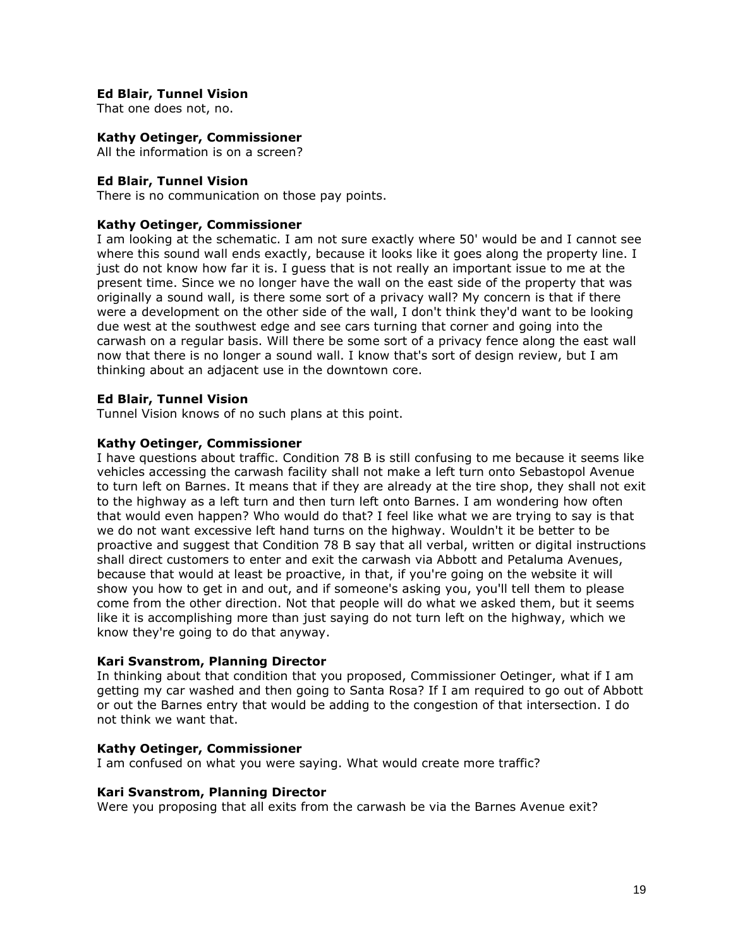### **Ed Blair, Tunnel Vision**

That one does not, no.

# **Kathy Oetinger, Commissioner**

All the information is on a screen?

### **Ed Blair, Tunnel Vision**

There is no communication on those pay points.

### **Kathy Oetinger, Commissioner**

I am looking at the schematic. I am not sure exactly where 50' would be and I cannot see where this sound wall ends exactly, because it looks like it goes along the property line. I just do not know how far it is. I guess that is not really an important issue to me at the present time. Since we no longer have the wall on the east side of the property that was originally a sound wall, is there some sort of a privacy wall? My concern is that if there were a development on the other side of the wall, I don't think they'd want to be looking due west at the southwest edge and see cars turning that corner and going into the carwash on a regular basis. Will there be some sort of a privacy fence along the east wall now that there is no longer a sound wall. I know that's sort of design review, but I am thinking about an adjacent use in the downtown core.

### **Ed Blair, Tunnel Vision**

Tunnel Vision knows of no such plans at this point.

### **Kathy Oetinger, Commissioner**

I have questions about traffic. Condition 78 B is still confusing to me because it seems like vehicles accessing the carwash facility shall not make a left turn onto Sebastopol Avenue to turn left on Barnes. It means that if they are already at the tire shop, they shall not exit to the highway as a left turn and then turn left onto Barnes. I am wondering how often that would even happen? Who would do that? I feel like what we are trying to say is that we do not want excessive left hand turns on the highway. Wouldn't it be better to be proactive and suggest that Condition 78 B say that all verbal, written or digital instructions shall direct customers to enter and exit the carwash via Abbott and Petaluma Avenues, because that would at least be proactive, in that, if you're going on the website it will show you how to get in and out, and if someone's asking you, you'll tell them to please come from the other direction. Not that people will do what we asked them, but it seems like it is accomplishing more than just saying do not turn left on the highway, which we know they're going to do that anyway.

#### **Kari Svanstrom, Planning Director**

In thinking about that condition that you proposed, Commissioner Oetinger, what if I am getting my car washed and then going to Santa Rosa? If I am required to go out of Abbott or out the Barnes entry that would be adding to the congestion of that intersection. I do not think we want that.

#### **Kathy Oetinger, Commissioner**

I am confused on what you were saying. What would create more traffic?

#### **Kari Svanstrom, Planning Director**

Were you proposing that all exits from the carwash be via the Barnes Avenue exit?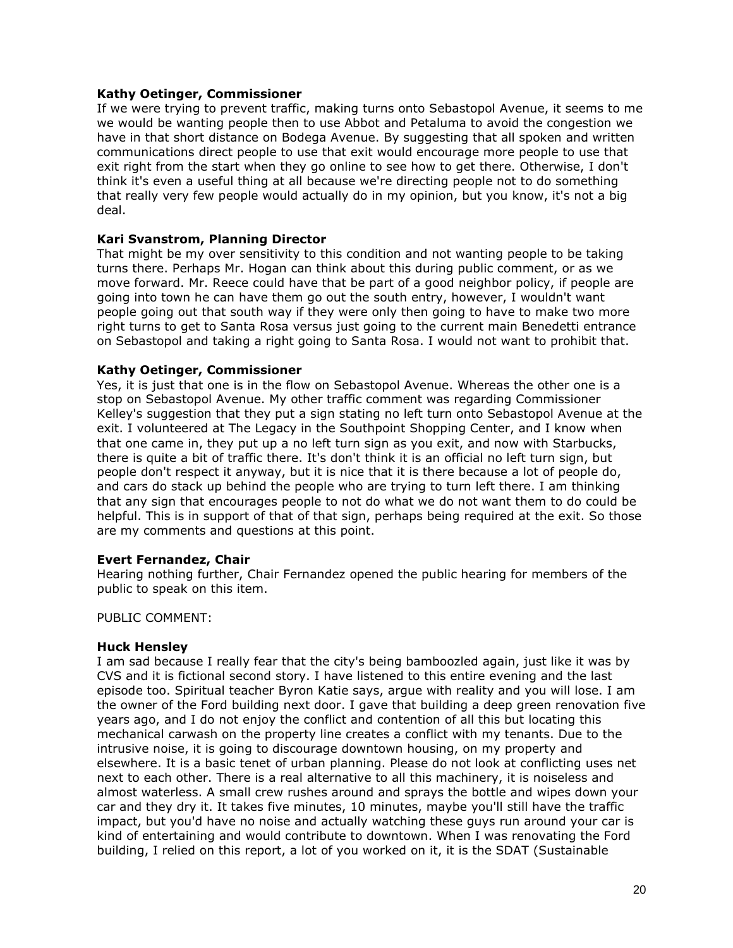### **Kathy Oetinger, Commissioner**

If we were trying to prevent traffic, making turns onto Sebastopol Avenue, it seems to me we would be wanting people then to use Abbot and Petaluma to avoid the congestion we have in that short distance on Bodega Avenue. By suggesting that all spoken and written communications direct people to use that exit would encourage more people to use that exit right from the start when they go online to see how to get there. Otherwise, I don't think it's even a useful thing at all because we're directing people not to do something that really very few people would actually do in my opinion, but you know, it's not a big deal.

# **Kari Svanstrom, Planning Director**

That might be my over sensitivity to this condition and not wanting people to be taking turns there. Perhaps Mr. Hogan can think about this during public comment, or as we move forward. Mr. Reece could have that be part of a good neighbor policy, if people are going into town he can have them go out the south entry, however, I wouldn't want people going out that south way if they were only then going to have to make two more right turns to get to Santa Rosa versus just going to the current main Benedetti entrance on Sebastopol and taking a right going to Santa Rosa. I would not want to prohibit that.

### **Kathy Oetinger, Commissioner**

Yes, it is just that one is in the flow on Sebastopol Avenue. Whereas the other one is a stop on Sebastopol Avenue. My other traffic comment was regarding Commissioner Kelley's suggestion that they put a sign stating no left turn onto Sebastopol Avenue at the exit. I volunteered at The Legacy in the Southpoint Shopping Center, and I know when that one came in, they put up a no left turn sign as you exit, and now with Starbucks, there is quite a bit of traffic there. It's don't think it is an official no left turn sign, but people don't respect it anyway, but it is nice that it is there because a lot of people do, and cars do stack up behind the people who are trying to turn left there. I am thinking that any sign that encourages people to not do what we do not want them to do could be helpful. This is in support of that of that sign, perhaps being required at the exit. So those are my comments and questions at this point.

#### **Evert Fernandez, Chair**

Hearing nothing further, Chair Fernandez opened the public hearing for members of the public to speak on this item.

PUBLIC COMMENT:

#### **Huck Hensley**

I am sad because I really fear that the city's being bamboozled again, just like it was by CVS and it is fictional second story. I have listened to this entire evening and the last episode too. Spiritual teacher Byron Katie says, argue with reality and you will lose. I am the owner of the Ford building next door. I gave that building a deep green renovation five years ago, and I do not enjoy the conflict and contention of all this but locating this mechanical carwash on the property line creates a conflict with my tenants. Due to the intrusive noise, it is going to discourage downtown housing, on my property and elsewhere. It is a basic tenet of urban planning. Please do not look at conflicting uses net next to each other. There is a real alternative to all this machinery, it is noiseless and almost waterless. A small crew rushes around and sprays the bottle and wipes down your car and they dry it. It takes five minutes, 10 minutes, maybe you'll still have the traffic impact, but you'd have no noise and actually watching these guys run around your car is kind of entertaining and would contribute to downtown. When I was renovating the Ford building, I relied on this report, a lot of you worked on it, it is the SDAT (Sustainable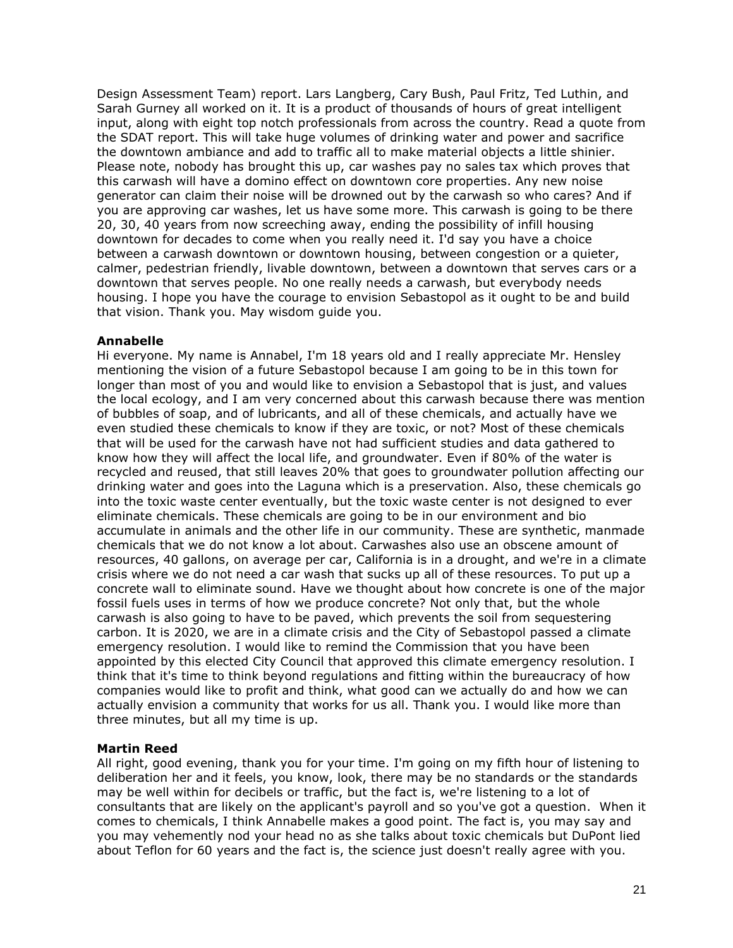Design Assessment Team) report. Lars Langberg, Cary Bush, Paul Fritz, Ted Luthin, and Sarah Gurney all worked on it. It is a product of thousands of hours of great intelligent input, along with eight top notch professionals from across the country. Read a quote from the SDAT report. This will take huge volumes of drinking water and power and sacrifice the downtown ambiance and add to traffic all to make material objects a little shinier. Please note, nobody has brought this up, car washes pay no sales tax which proves that this carwash will have a domino effect on downtown core properties. Any new noise generator can claim their noise will be drowned out by the carwash so who cares? And if you are approving car washes, let us have some more. This carwash is going to be there 20, 30, 40 years from now screeching away, ending the possibility of infill housing downtown for decades to come when you really need it. I'd say you have a choice between a carwash downtown or downtown housing, between congestion or a quieter, calmer, pedestrian friendly, livable downtown, between a downtown that serves cars or a downtown that serves people. No one really needs a carwash, but everybody needs housing. I hope you have the courage to envision Sebastopol as it ought to be and build that vision. Thank you. May wisdom guide you.

# **Annabelle**

Hi everyone. My name is Annabel, I'm 18 years old and I really appreciate Mr. Hensley mentioning the vision of a future Sebastopol because I am going to be in this town for longer than most of you and would like to envision a Sebastopol that is just, and values the local ecology, and I am very concerned about this carwash because there was mention of bubbles of soap, and of lubricants, and all of these chemicals, and actually have we even studied these chemicals to know if they are toxic, or not? Most of these chemicals that will be used for the carwash have not had sufficient studies and data gathered to know how they will affect the local life, and groundwater. Even if 80% of the water is recycled and reused, that still leaves 20% that goes to groundwater pollution affecting our drinking water and goes into the Laguna which is a preservation. Also, these chemicals go into the toxic waste center eventually, but the toxic waste center is not designed to ever eliminate chemicals. These chemicals are going to be in our environment and bio accumulate in animals and the other life in our community. These are synthetic, manmade chemicals that we do not know a lot about. Carwashes also use an obscene amount of resources, 40 gallons, on average per car, California is in a drought, and we're in a climate crisis where we do not need a car wash that sucks up all of these resources. To put up a concrete wall to eliminate sound. Have we thought about how concrete is one of the major fossil fuels uses in terms of how we produce concrete? Not only that, but the whole carwash is also going to have to be paved, which prevents the soil from sequestering carbon. It is 2020, we are in a climate crisis and the City of Sebastopol passed a climate emergency resolution. I would like to remind the Commission that you have been appointed by this elected City Council that approved this climate emergency resolution. I think that it's time to think beyond regulations and fitting within the bureaucracy of how companies would like to profit and think, what good can we actually do and how we can actually envision a community that works for us all. Thank you. I would like more than three minutes, but all my time is up.

# **Martin Reed**

All right, good evening, thank you for your time. I'm going on my fifth hour of listening to deliberation her and it feels, you know, look, there may be no standards or the standards may be well within for decibels or traffic, but the fact is, we're listening to a lot of consultants that are likely on the applicant's payroll and so you've got a question. When it comes to chemicals, I think Annabelle makes a good point. The fact is, you may say and you may vehemently nod your head no as she talks about toxic chemicals but DuPont lied about Teflon for 60 years and the fact is, the science just doesn't really agree with you.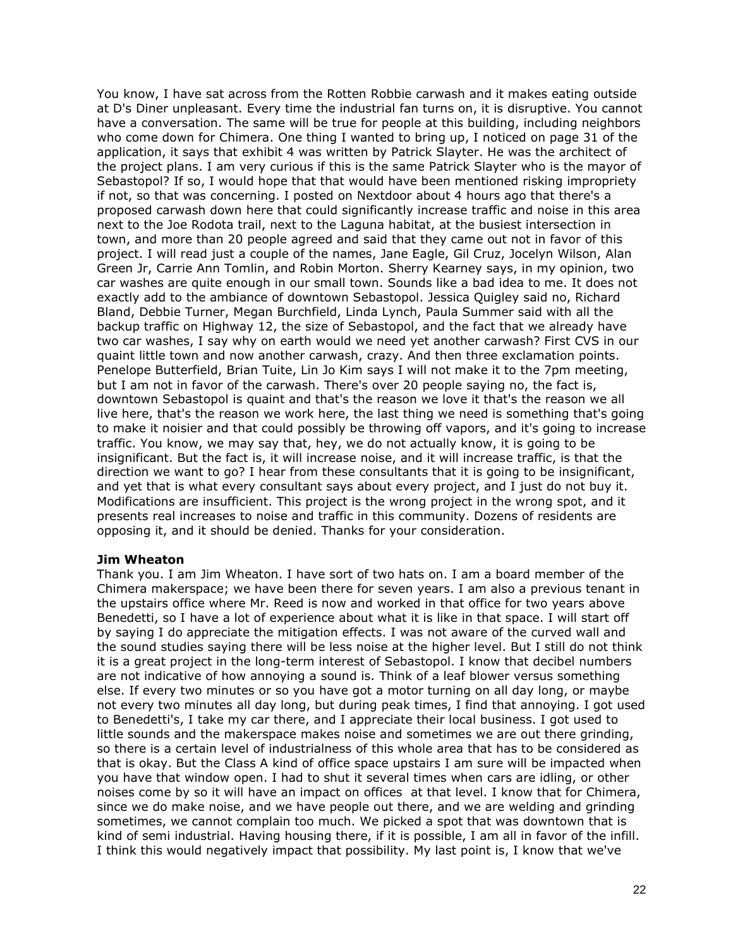You know, I have sat across from the Rotten Robbie carwash and it makes eating outside at D's Diner unpleasant. Every time the industrial fan turns on, it is disruptive. You cannot have a conversation. The same will be true for people at this building, including neighbors who come down for Chimera. One thing I wanted to bring up, I noticed on page 31 of the application, it says that exhibit 4 was written by Patrick Slayter. He was the architect of the project plans. I am very curious if this is the same Patrick Slayter who is the mayor of Sebastopol? If so, I would hope that that would have been mentioned risking impropriety if not, so that was concerning. I posted on Nextdoor about 4 hours ago that there's a proposed carwash down here that could significantly increase traffic and noise in this area next to the Joe Rodota trail, next to the Laguna habitat, at the busiest intersection in town, and more than 20 people agreed and said that they came out not in favor of this project. I will read just a couple of the names, Jane Eagle, Gil Cruz, Jocelyn Wilson, Alan Green Jr, Carrie Ann Tomlin, and Robin Morton. Sherry Kearney says, in my opinion, two car washes are quite enough in our small town. Sounds like a bad idea to me. It does not exactly add to the ambiance of downtown Sebastopol. Jessica Quigley said no, Richard Bland, Debbie Turner, Megan Burchfield, Linda Lynch, Paula Summer said with all the backup traffic on Highway 12, the size of Sebastopol, and the fact that we already have two car washes, I say why on earth would we need yet another carwash? First CVS in our quaint little town and now another carwash, crazy. And then three exclamation points. Penelope Butterfield, Brian Tuite, Lin Jo Kim says I will not make it to the 7pm meeting, but I am not in favor of the carwash. There's over 20 people saying no, the fact is, downtown Sebastopol is quaint and that's the reason we love it that's the reason we all live here, that's the reason we work here, the last thing we need is something that's going to make it noisier and that could possibly be throwing off vapors, and it's going to increase traffic. You know, we may say that, hey, we do not actually know, it is going to be insignificant. But the fact is, it will increase noise, and it will increase traffic, is that the direction we want to go? I hear from these consultants that it is going to be insignificant, and yet that is what every consultant says about every project, and I just do not buy it. Modifications are insufficient. This project is the wrong project in the wrong spot, and it presents real increases to noise and traffic in this community. Dozens of residents are opposing it, and it should be denied. Thanks for your consideration.

#### **Jim Wheaton**

Thank you. I am Jim Wheaton. I have sort of two hats on. I am a board member of the Chimera makerspace; we have been there for seven years. I am also a previous tenant in the upstairs office where Mr. Reed is now and worked in that office for two years above Benedetti, so I have a lot of experience about what it is like in that space. I will start off by saying I do appreciate the mitigation effects. I was not aware of the curved wall and the sound studies saying there will be less noise at the higher level. But I still do not think it is a great project in the long-term interest of Sebastopol. I know that decibel numbers are not indicative of how annoying a sound is. Think of a leaf blower versus something else. If every two minutes or so you have got a motor turning on all day long, or maybe not every two minutes all day long, but during peak times, I find that annoying. I got used to Benedetti's, I take my car there, and I appreciate their local business. I got used to little sounds and the makerspace makes noise and sometimes we are out there grinding, so there is a certain level of industrialness of this whole area that has to be considered as that is okay. But the Class A kind of office space upstairs I am sure will be impacted when you have that window open. I had to shut it several times when cars are idling, or other noises come by so it will have an impact on offices at that level. I know that for Chimera, since we do make noise, and we have people out there, and we are welding and grinding sometimes, we cannot complain too much. We picked a spot that was downtown that is kind of semi industrial. Having housing there, if it is possible, I am all in favor of the infill. I think this would negatively impact that possibility. My last point is, I know that we've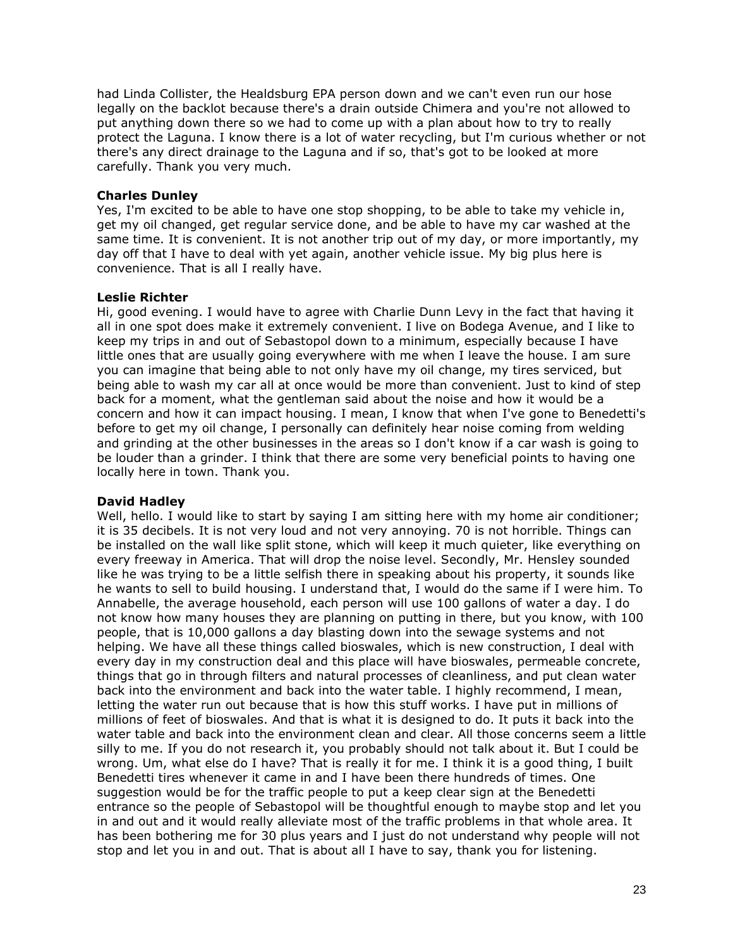had Linda Collister, the Healdsburg EPA person down and we can't even run our hose legally on the backlot because there's a drain outside Chimera and you're not allowed to put anything down there so we had to come up with a plan about how to try to really protect the Laguna. I know there is a lot of water recycling, but I'm curious whether or not there's any direct drainage to the Laguna and if so, that's got to be looked at more carefully. Thank you very much.

# **Charles Dunley**

Yes, I'm excited to be able to have one stop shopping, to be able to take my vehicle in, get my oil changed, get regular service done, and be able to have my car washed at the same time. It is convenient. It is not another trip out of my day, or more importantly, my day off that I have to deal with yet again, another vehicle issue. My big plus here is convenience. That is all I really have.

### **Leslie Richter**

Hi, good evening. I would have to agree with Charlie Dunn Levy in the fact that having it all in one spot does make it extremely convenient. I live on Bodega Avenue, and I like to keep my trips in and out of Sebastopol down to a minimum, especially because I have little ones that are usually going everywhere with me when I leave the house. I am sure you can imagine that being able to not only have my oil change, my tires serviced, but being able to wash my car all at once would be more than convenient. Just to kind of step back for a moment, what the gentleman said about the noise and how it would be a concern and how it can impact housing. I mean, I know that when I've gone to Benedetti's before to get my oil change, I personally can definitely hear noise coming from welding and grinding at the other businesses in the areas so I don't know if a car wash is going to be louder than a grinder. I think that there are some very beneficial points to having one locally here in town. Thank you.

#### **David Hadley**

Well, hello. I would like to start by saying I am sitting here with my home air conditioner; it is 35 decibels. It is not very loud and not very annoying. 70 is not horrible. Things can be installed on the wall like split stone, which will keep it much quieter, like everything on every freeway in America. That will drop the noise level. Secondly, Mr. Hensley sounded like he was trying to be a little selfish there in speaking about his property, it sounds like he wants to sell to build housing. I understand that, I would do the same if I were him. To Annabelle, the average household, each person will use 100 gallons of water a day. I do not know how many houses they are planning on putting in there, but you know, with 100 people, that is 10,000 gallons a day blasting down into the sewage systems and not helping. We have all these things called bioswales, which is new construction, I deal with every day in my construction deal and this place will have bioswales, permeable concrete, things that go in through filters and natural processes of cleanliness, and put clean water back into the environment and back into the water table. I highly recommend, I mean, letting the water run out because that is how this stuff works. I have put in millions of millions of feet of bioswales. And that is what it is designed to do. It puts it back into the water table and back into the environment clean and clear. All those concerns seem a little silly to me. If you do not research it, you probably should not talk about it. But I could be wrong. Um, what else do I have? That is really it for me. I think it is a good thing, I built Benedetti tires whenever it came in and I have been there hundreds of times. One suggestion would be for the traffic people to put a keep clear sign at the Benedetti entrance so the people of Sebastopol will be thoughtful enough to maybe stop and let you in and out and it would really alleviate most of the traffic problems in that whole area. It has been bothering me for 30 plus years and I just do not understand why people will not stop and let you in and out. That is about all I have to say, thank you for listening.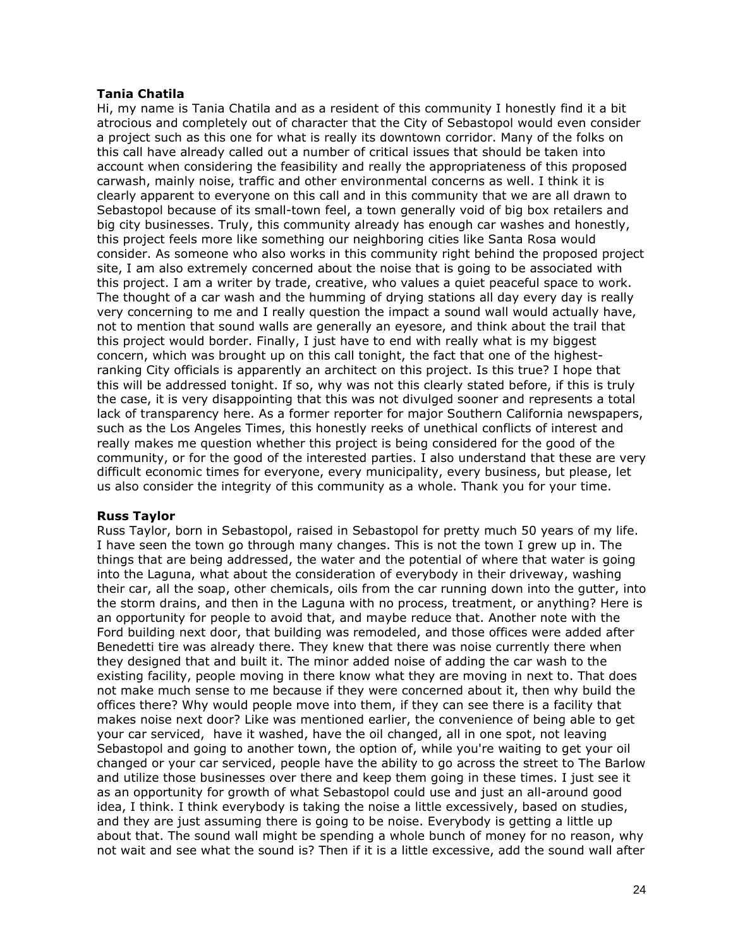# **Tania Chatila**

Hi, my name is Tania Chatila and as a resident of this community I honestly find it a bit atrocious and completely out of character that the City of Sebastopol would even consider a project such as this one for what is really its downtown corridor. Many of the folks on this call have already called out a number of critical issues that should be taken into account when considering the feasibility and really the appropriateness of this proposed carwash, mainly noise, traffic and other environmental concerns as well. I think it is clearly apparent to everyone on this call and in this community that we are all drawn to Sebastopol because of its small-town feel, a town generally void of big box retailers and big city businesses. Truly, this community already has enough car washes and honestly, this project feels more like something our neighboring cities like Santa Rosa would consider. As someone who also works in this community right behind the proposed project site, I am also extremely concerned about the noise that is going to be associated with this project. I am a writer by trade, creative, who values a quiet peaceful space to work. The thought of a car wash and the humming of drying stations all day every day is really very concerning to me and I really question the impact a sound wall would actually have, not to mention that sound walls are generally an eyesore, and think about the trail that this project would border. Finally, I just have to end with really what is my biggest concern, which was brought up on this call tonight, the fact that one of the highestranking City officials is apparently an architect on this project. Is this true? I hope that this will be addressed tonight. If so, why was not this clearly stated before, if this is truly the case, it is very disappointing that this was not divulged sooner and represents a total lack of transparency here. As a former reporter for major Southern California newspapers, such as the Los Angeles Times, this honestly reeks of unethical conflicts of interest and really makes me question whether this project is being considered for the good of the community, or for the good of the interested parties. I also understand that these are very difficult economic times for everyone, every municipality, every business, but please, let us also consider the integrity of this community as a whole. Thank you for your time.

# **Russ Taylor**

Russ Taylor, born in Sebastopol, raised in Sebastopol for pretty much 50 years of my life. I have seen the town go through many changes. This is not the town I grew up in. The things that are being addressed, the water and the potential of where that water is going into the Laguna, what about the consideration of everybody in their driveway, washing their car, all the soap, other chemicals, oils from the car running down into the gutter, into the storm drains, and then in the Laguna with no process, treatment, or anything? Here is an opportunity for people to avoid that, and maybe reduce that. Another note with the Ford building next door, that building was remodeled, and those offices were added after Benedetti tire was already there. They knew that there was noise currently there when they designed that and built it. The minor added noise of adding the car wash to the existing facility, people moving in there know what they are moving in next to. That does not make much sense to me because if they were concerned about it, then why build the offices there? Why would people move into them, if they can see there is a facility that makes noise next door? Like was mentioned earlier, the convenience of being able to get your car serviced, have it washed, have the oil changed, all in one spot, not leaving Sebastopol and going to another town, the option of, while you're waiting to get your oil changed or your car serviced, people have the ability to go across the street to The Barlow and utilize those businesses over there and keep them going in these times. I just see it as an opportunity for growth of what Sebastopol could use and just an all-around good idea, I think. I think everybody is taking the noise a little excessively, based on studies, and they are just assuming there is going to be noise. Everybody is getting a little up about that. The sound wall might be spending a whole bunch of money for no reason, why not wait and see what the sound is? Then if it is a little excessive, add the sound wall after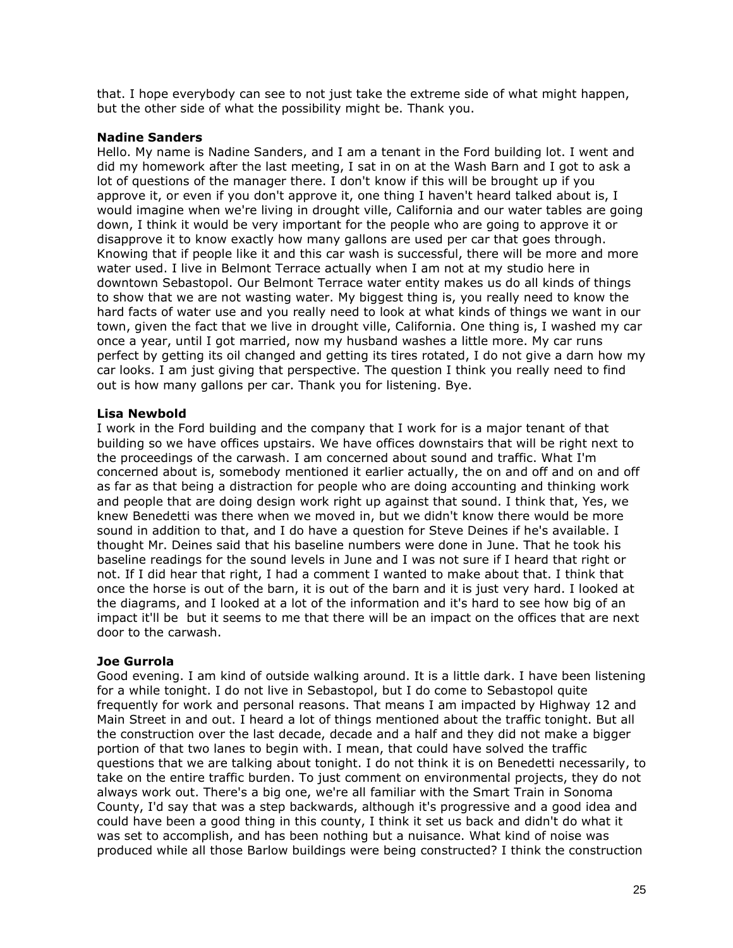that. I hope everybody can see to not just take the extreme side of what might happen, but the other side of what the possibility might be. Thank you.

### **Nadine Sanders**

Hello. My name is Nadine Sanders, and I am a tenant in the Ford building lot. I went and did my homework after the last meeting, I sat in on at the Wash Barn and I got to ask a lot of questions of the manager there. I don't know if this will be brought up if you approve it, or even if you don't approve it, one thing I haven't heard talked about is, I would imagine when we're living in drought ville, California and our water tables are going down, I think it would be very important for the people who are going to approve it or disapprove it to know exactly how many gallons are used per car that goes through. Knowing that if people like it and this car wash is successful, there will be more and more water used. I live in Belmont Terrace actually when I am not at my studio here in downtown Sebastopol. Our Belmont Terrace water entity makes us do all kinds of things to show that we are not wasting water. My biggest thing is, you really need to know the hard facts of water use and you really need to look at what kinds of things we want in our town, given the fact that we live in drought ville, California. One thing is, I washed my car once a year, until I got married, now my husband washes a little more. My car runs perfect by getting its oil changed and getting its tires rotated, I do not give a darn how my car looks. I am just giving that perspective. The question I think you really need to find out is how many gallons per car. Thank you for listening. Bye.

# **Lisa Newbold**

I work in the Ford building and the company that I work for is a major tenant of that building so we have offices upstairs. We have offices downstairs that will be right next to the proceedings of the carwash. I am concerned about sound and traffic. What I'm concerned about is, somebody mentioned it earlier actually, the on and off and on and off as far as that being a distraction for people who are doing accounting and thinking work and people that are doing design work right up against that sound. I think that, Yes, we knew Benedetti was there when we moved in, but we didn't know there would be more sound in addition to that, and I do have a question for Steve Deines if he's available. I thought Mr. Deines said that his baseline numbers were done in June. That he took his baseline readings for the sound levels in June and I was not sure if I heard that right or not. If I did hear that right, I had a comment I wanted to make about that. I think that once the horse is out of the barn, it is out of the barn and it is just very hard. I looked at the diagrams, and I looked at a lot of the information and it's hard to see how big of an impact it'll be but it seems to me that there will be an impact on the offices that are next door to the carwash.

# **Joe Gurrola**

Good evening. I am kind of outside walking around. It is a little dark. I have been listening for a while tonight. I do not live in Sebastopol, but I do come to Sebastopol quite frequently for work and personal reasons. That means I am impacted by Highway 12 and Main Street in and out. I heard a lot of things mentioned about the traffic tonight. But all the construction over the last decade, decade and a half and they did not make a bigger portion of that two lanes to begin with. I mean, that could have solved the traffic questions that we are talking about tonight. I do not think it is on Benedetti necessarily, to take on the entire traffic burden. To just comment on environmental projects, they do not always work out. There's a big one, we're all familiar with the Smart Train in Sonoma County, I'd say that was a step backwards, although it's progressive and a good idea and could have been a good thing in this county, I think it set us back and didn't do what it was set to accomplish, and has been nothing but a nuisance. What kind of noise was produced while all those Barlow buildings were being constructed? I think the construction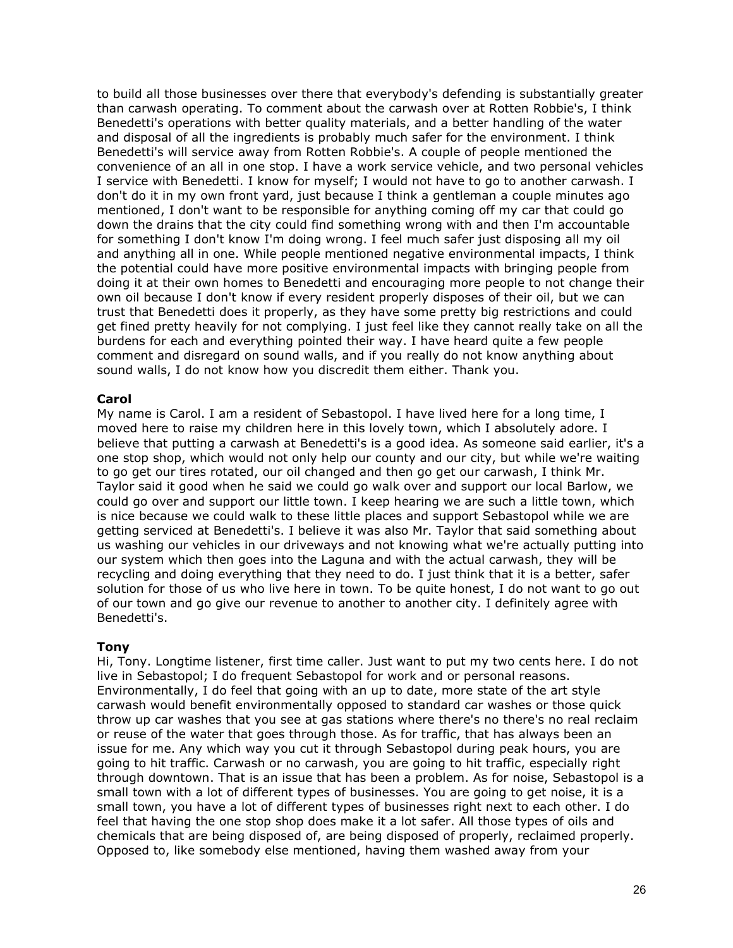to build all those businesses over there that everybody's defending is substantially greater than carwash operating. To comment about the carwash over at Rotten Robbie's, I think Benedetti's operations with better quality materials, and a better handling of the water and disposal of all the ingredients is probably much safer for the environment. I think Benedetti's will service away from Rotten Robbie's. A couple of people mentioned the convenience of an all in one stop. I have a work service vehicle, and two personal vehicles I service with Benedetti. I know for myself; I would not have to go to another carwash. I don't do it in my own front yard, just because I think a gentleman a couple minutes ago mentioned, I don't want to be responsible for anything coming off my car that could go down the drains that the city could find something wrong with and then I'm accountable for something I don't know I'm doing wrong. I feel much safer just disposing all my oil and anything all in one. While people mentioned negative environmental impacts, I think the potential could have more positive environmental impacts with bringing people from doing it at their own homes to Benedetti and encouraging more people to not change their own oil because I don't know if every resident properly disposes of their oil, but we can trust that Benedetti does it properly, as they have some pretty big restrictions and could get fined pretty heavily for not complying. I just feel like they cannot really take on all the burdens for each and everything pointed their way. I have heard quite a few people comment and disregard on sound walls, and if you really do not know anything about sound walls, I do not know how you discredit them either. Thank you.

# **Carol**

My name is Carol. I am a resident of Sebastopol. I have lived here for a long time, I moved here to raise my children here in this lovely town, which I absolutely adore. I believe that putting a carwash at Benedetti's is a good idea. As someone said earlier, it's a one stop shop, which would not only help our county and our city, but while we're waiting to go get our tires rotated, our oil changed and then go get our carwash, I think Mr. Taylor said it good when he said we could go walk over and support our local Barlow, we could go over and support our little town. I keep hearing we are such a little town, which is nice because we could walk to these little places and support Sebastopol while we are getting serviced at Benedetti's. I believe it was also Mr. Taylor that said something about us washing our vehicles in our driveways and not knowing what we're actually putting into our system which then goes into the Laguna and with the actual carwash, they will be recycling and doing everything that they need to do. I just think that it is a better, safer solution for those of us who live here in town. To be quite honest, I do not want to go out of our town and go give our revenue to another to another city. I definitely agree with Benedetti's.

#### **Tony**

Hi, Tony. Longtime listener, first time caller. Just want to put my two cents here. I do not live in Sebastopol; I do frequent Sebastopol for work and or personal reasons. Environmentally, I do feel that going with an up to date, more state of the art style carwash would benefit environmentally opposed to standard car washes or those quick throw up car washes that you see at gas stations where there's no there's no real reclaim or reuse of the water that goes through those. As for traffic, that has always been an issue for me. Any which way you cut it through Sebastopol during peak hours, you are going to hit traffic. Carwash or no carwash, you are going to hit traffic, especially right through downtown. That is an issue that has been a problem. As for noise, Sebastopol is a small town with a lot of different types of businesses. You are going to get noise, it is a small town, you have a lot of different types of businesses right next to each other. I do feel that having the one stop shop does make it a lot safer. All those types of oils and chemicals that are being disposed of, are being disposed of properly, reclaimed properly. Opposed to, like somebody else mentioned, having them washed away from your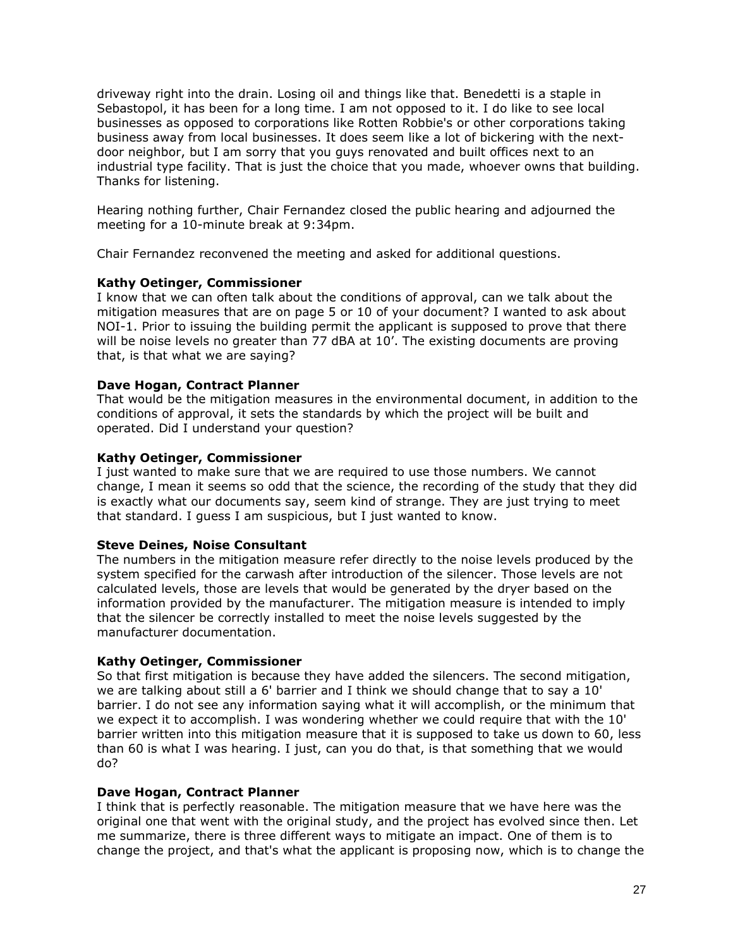driveway right into the drain. Losing oil and things like that. Benedetti is a staple in Sebastopol, it has been for a long time. I am not opposed to it. I do like to see local businesses as opposed to corporations like Rotten Robbie's or other corporations taking business away from local businesses. It does seem like a lot of bickering with the nextdoor neighbor, but I am sorry that you guys renovated and built offices next to an industrial type facility. That is just the choice that you made, whoever owns that building. Thanks for listening.

Hearing nothing further, Chair Fernandez closed the public hearing and adjourned the meeting for a 10-minute break at 9:34pm.

Chair Fernandez reconvened the meeting and asked for additional questions.

# **Kathy Oetinger, Commissioner**

I know that we can often talk about the conditions of approval, can we talk about the mitigation measures that are on page 5 or 10 of your document? I wanted to ask about NOI-1. Prior to issuing the building permit the applicant is supposed to prove that there will be noise levels no greater than 77 dBA at 10'. The existing documents are proving that, is that what we are saying?

# **Dave Hogan, Contract Planner**

That would be the mitigation measures in the environmental document, in addition to the conditions of approval, it sets the standards by which the project will be built and operated. Did I understand your question?

# **Kathy Oetinger, Commissioner**

I just wanted to make sure that we are required to use those numbers. We cannot change, I mean it seems so odd that the science, the recording of the study that they did is exactly what our documents say, seem kind of strange. They are just trying to meet that standard. I guess I am suspicious, but I just wanted to know.

# **Steve Deines, Noise Consultant**

The numbers in the mitigation measure refer directly to the noise levels produced by the system specified for the carwash after introduction of the silencer. Those levels are not calculated levels, those are levels that would be generated by the dryer based on the information provided by the manufacturer. The mitigation measure is intended to imply that the silencer be correctly installed to meet the noise levels suggested by the manufacturer documentation.

# **Kathy Oetinger, Commissioner**

So that first mitigation is because they have added the silencers. The second mitigation, we are talking about still a 6' barrier and I think we should change that to say a 10' barrier. I do not see any information saying what it will accomplish, or the minimum that we expect it to accomplish. I was wondering whether we could require that with the 10' barrier written into this mitigation measure that it is supposed to take us down to 60, less than 60 is what I was hearing. I just, can you do that, is that something that we would do?

# **Dave Hogan, Contract Planner**

I think that is perfectly reasonable. The mitigation measure that we have here was the original one that went with the original study, and the project has evolved since then. Let me summarize, there is three different ways to mitigate an impact. One of them is to change the project, and that's what the applicant is proposing now, which is to change the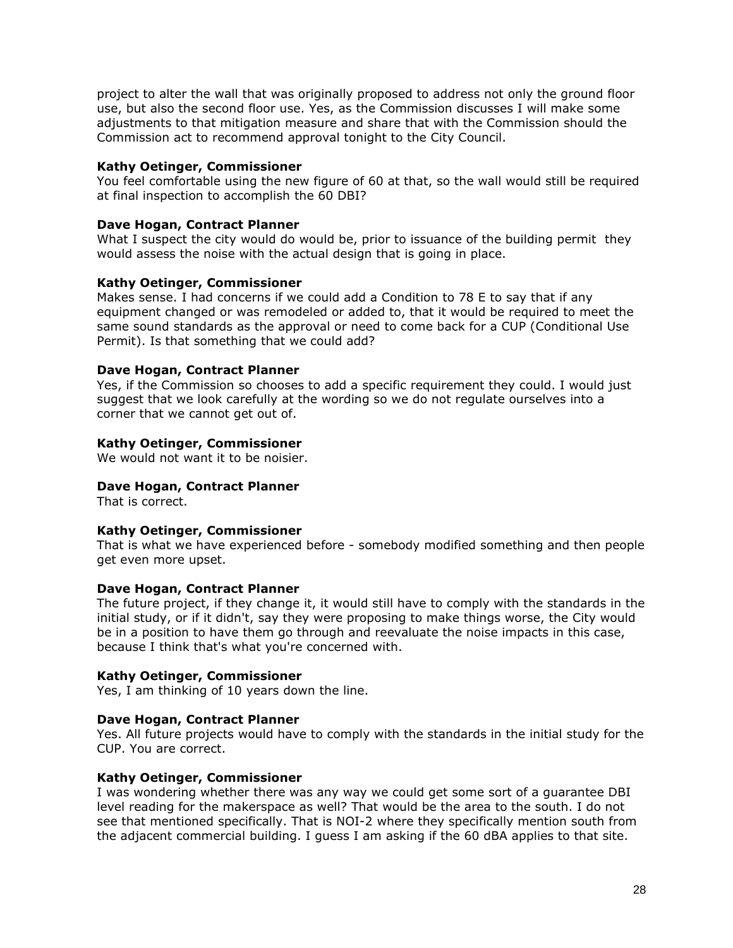project to alter the wall that was originally proposed to address not only the ground floor use, but also the second floor use. Yes, as the Commission discusses I will make some adjustments to that mitigation measure and share that with the Commission should the Commission act to recommend approval tonight to the City Council.

# **Kathy Oetinger, Commissioner**

You feel comfortable using the new figure of 60 at that, so the wall would still be required at final inspection to accomplish the 60 DBI?

# **Dave Hogan, Contract Planner**

What I suspect the city would do would be, prior to issuance of the building permit, they would assess the noise with the actual design that is going in place.

# **Kathy Oetinger, Commissioner**

Makes sense. I had concerns if we could add a Condition to 78 E to say that if any equipment changed or was remodeled or added to, that it would be required to meet the same sound standards as the approval or need to come back for a CUP (Conditional Use Permit). Is that something that we could add?

# **Dave Hogan, Contract Planner**

Yes, if the Commission so chooses to add a specific requirement they could. I would just suggest that we look carefully at the wording so we do not regulate ourselves into a corner that we cannot get out of.

# **Kathy Oetinger, Commissioner**

We would not want it to be noisier.

# **Dave Hogan, Contract Planner**

That is correct.

# **Kathy Oetinger, Commissioner**

That is what we have experienced before - somebody modified something and then people get even more upset.

# **Dave Hogan, Contract Planner**

The future project, if they change it, it would still have to comply with the standards in the initial study, or if it didn't, say they were proposing to make things worse, the City would be in a position to have them go through and reevaluate the noise impacts in this case, because I think that's what you're concerned with.

# **Kathy Oetinger, Commissioner**

Yes, I am thinking of 10 years down the line.

# **Dave Hogan, Contract Planner**

Yes. All future projects would have to comply with the standards in the initial study for the CUP. You are correct.

# **Kathy Oetinger, Commissioner**

I was wondering whether there was any way we could get some sort of a guarantee DBI level reading for the makerspace as well? That would be the area to the south. I do not see that mentioned specifically. That is NOI-2 where they specifically mention south from the adjacent commercial building. I guess I am asking if the 60 dBA applies to that site.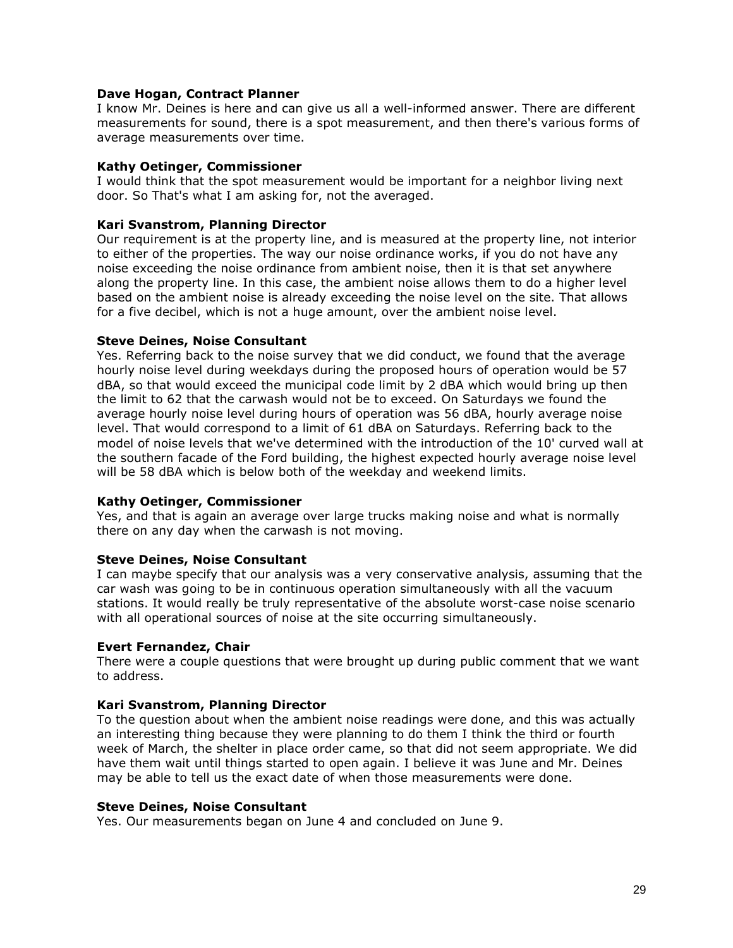### **Dave Hogan, Contract Planner**

I know Mr. Deines is here and can give us all a well-informed answer. There are different measurements for sound, there is a spot measurement, and then there's various forms of average measurements over time.

### **Kathy Oetinger, Commissioner**

I would think that the spot measurement would be important for a neighbor living next door. So That's what I am asking for, not the averaged.

### **Kari Svanstrom, Planning Director**

Our requirement is at the property line, and is measured at the property line, not interior to either of the properties. The way our noise ordinance works, if you do not have any noise exceeding the noise ordinance from ambient noise, then it is that set anywhere along the property line. In this case, the ambient noise allows them to do a higher level based on the ambient noise is already exceeding the noise level on the site. That allows for a five decibel, which is not a huge amount, over the ambient noise level.

### **Steve Deines, Noise Consultant**

Yes. Referring back to the noise survey that we did conduct, we found that the average hourly noise level during weekdays during the proposed hours of operation would be 57 dBA, so that would exceed the municipal code limit by 2 dBA which would bring up then the limit to 62 that the carwash would not be to exceed. On Saturdays we found the average hourly noise level during hours of operation was 56 dBA, hourly average noise level. That would correspond to a limit of 61 dBA on Saturdays. Referring back to the model of noise levels that we've determined with the introduction of the 10' curved wall at the southern facade of the Ford building, the highest expected hourly average noise level will be 58 dBA which is below both of the weekday and weekend limits.

# **Kathy Oetinger, Commissioner**

Yes, and that is again an average over large trucks making noise and what is normally there on any day when the carwash is not moving.

# **Steve Deines, Noise Consultant**

I can maybe specify that our analysis was a very conservative analysis, assuming that the car wash was going to be in continuous operation simultaneously with all the vacuum stations. It would really be truly representative of the absolute worst-case noise scenario with all operational sources of noise at the site occurring simultaneously.

#### **Evert Fernandez, Chair**

There were a couple questions that were brought up during public comment that we want to address.

# **Kari Svanstrom, Planning Director**

To the question about when the ambient noise readings were done, and this was actually an interesting thing because they were planning to do them I think the third or fourth week of March, the shelter in place order came, so that did not seem appropriate. We did have them wait until things started to open again. I believe it was June and Mr. Deines may be able to tell us the exact date of when those measurements were done.

#### **Steve Deines, Noise Consultant**

Yes. Our measurements began on June 4 and concluded on June 9.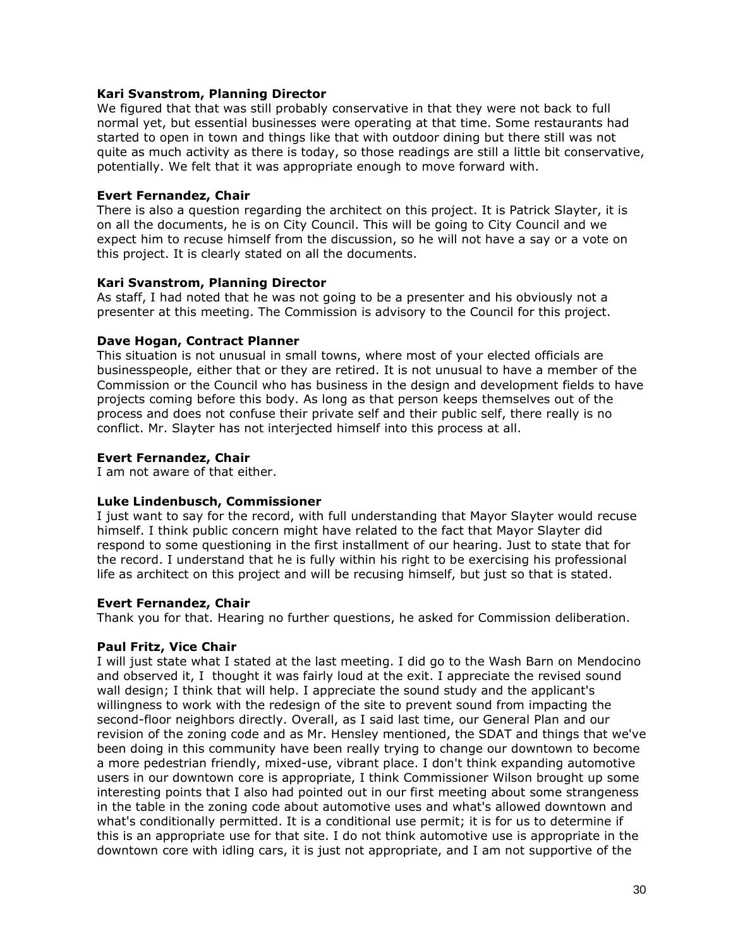# **Kari Svanstrom, Planning Director**

We figured that that was still probably conservative in that they were not back to full normal yet, but essential businesses were operating at that time. Some restaurants had started to open in town and things like that with outdoor dining but there still was not quite as much activity as there is today, so those readings are still a little bit conservative, potentially. We felt that it was appropriate enough to move forward with.

### **Evert Fernandez, Chair**

There is also a question regarding the architect on this project. It is Patrick Slayter, it is on all the documents, he is on City Council. This will be going to City Council and we expect him to recuse himself from the discussion, so he will not have a say or a vote on this project. It is clearly stated on all the documents.

### **Kari Svanstrom, Planning Director**

As staff, I had noted that he was not going to be a presenter and his obviously not a presenter at this meeting. The Commission is advisory to the Council for this project.

### **Dave Hogan, Contract Planner**

This situation is not unusual in small towns, where most of your elected officials are businesspeople, either that or they are retired. It is not unusual to have a member of the Commission or the Council who has business in the design and development fields to have projects coming before this body. As long as that person keeps themselves out of the process and does not confuse their private self and their public self, there really is no conflict. Mr. Slayter has not interjected himself into this process at all.

### **Evert Fernandez, Chair**

I am not aware of that either.

### **Luke Lindenbusch, Commissioner**

I just want to say for the record, with full understanding that Mayor Slayter would recuse himself. I think public concern might have related to the fact that Mayor Slayter did respond to some questioning in the first installment of our hearing. Just to state that for the record. I understand that he is fully within his right to be exercising his professional life as architect on this project and will be recusing himself, but just so that is stated.

# **Evert Fernandez, Chair**

Thank you for that. Hearing no further questions, he asked for Commission deliberation.

# **Paul Fritz, Vice Chair**

I will just state what I stated at the last meeting. I did go to the Wash Barn on Mendocino and observed it, I thought it was fairly loud at the exit. I appreciate the revised sound wall design; I think that will help. I appreciate the sound study and the applicant's willingness to work with the redesign of the site to prevent sound from impacting the second-floor neighbors directly. Overall, as I said last time, our General Plan and our revision of the zoning code and as Mr. Hensley mentioned, the SDAT and things that we've been doing in this community have been really trying to change our downtown to become a more pedestrian friendly, mixed-use, vibrant place. I don't think expanding automotive users in our downtown core is appropriate, I think Commissioner Wilson brought up some interesting points that I also had pointed out in our first meeting about some strangeness in the table in the zoning code about automotive uses and what's allowed downtown and what's conditionally permitted. It is a conditional use permit; it is for us to determine if this is an appropriate use for that site. I do not think automotive use is appropriate in the downtown core with idling cars, it is just not appropriate, and I am not supportive of the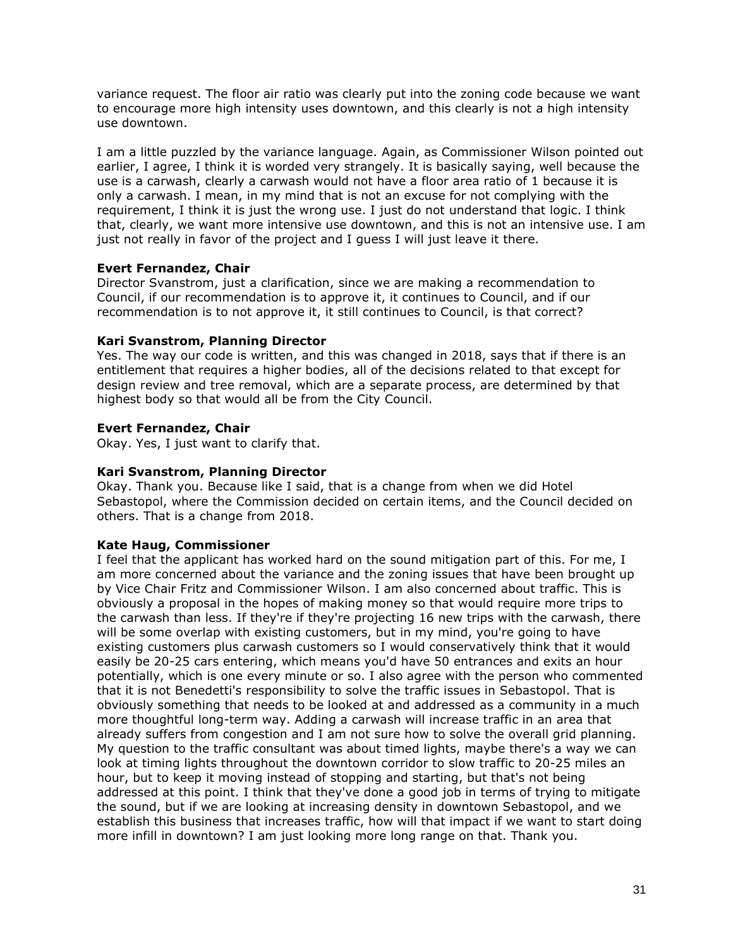variance request. The floor air ratio was clearly put into the zoning code because we want to encourage more high intensity uses downtown, and this clearly is not a high intensity use downtown.

I am a little puzzled by the variance language. Again, as Commissioner Wilson pointed out earlier, I agree, I think it is worded very strangely. It is basically saying, well because the use is a carwash, clearly a carwash would not have a floor area ratio of 1 because it is only a carwash. I mean, in my mind that is not an excuse for not complying with the requirement, I think it is just the wrong use. I just do not understand that logic. I think that, clearly, we want more intensive use downtown, and this is not an intensive use. I am just not really in favor of the project and I guess I will just leave it there.

# **Evert Fernandez, Chair**

Director Svanstrom, just a clarification, since we are making a recommendation to Council, if our recommendation is to approve it, it continues to Council, and if our recommendation is to not approve it, it still continues to Council, is that correct?

# **Kari Svanstrom, Planning Director**

Yes. The way our code is written, and this was changed in 2018, says that if there is an entitlement that requires a higher bodies, all of the decisions related to that except for design review and tree removal, which are a separate process, are determined by that highest body so that would all be from the City Council.

# **Evert Fernandez, Chair**

Okay. Yes, I just want to clarify that.

# **Kari Svanstrom, Planning Director**

Okay. Thank you. Because like I said, that is a change from when we did Hotel Sebastopol, where the Commission decided on certain items, and the Council decided on others. That is a change from 2018.

# **Kate Haug, Commissioner**

I feel that the applicant has worked hard on the sound mitigation part of this. For me, I am more concerned about the variance and the zoning issues that have been brought up by Vice Chair Fritz and Commissioner Wilson. I am also concerned about traffic. This is obviously a proposal in the hopes of making money so that would require more trips to the carwash than less. If they're if they're projecting 16 new trips with the carwash, there will be some overlap with existing customers, but in my mind, you're going to have existing customers plus carwash customers so I would conservatively think that it would easily be 20-25 cars entering, which means you'd have 50 entrances and exits an hour potentially, which is one every minute or so. I also agree with the person who commented that it is not Benedetti's responsibility to solve the traffic issues in Sebastopol. That is obviously something that needs to be looked at and addressed as a community in a much more thoughtful long-term way. Adding a carwash will increase traffic in an area that already suffers from congestion and I am not sure how to solve the overall grid planning. My question to the traffic consultant was about timed lights, maybe there's a way we can look at timing lights throughout the downtown corridor to slow traffic to 20-25 miles an hour, but to keep it moving instead of stopping and starting, but that's not being addressed at this point. I think that they've done a good job in terms of trying to mitigate the sound, but if we are looking at increasing density in downtown Sebastopol, and we establish this business that increases traffic, how will that impact if we want to start doing more infill in downtown? I am just looking more long range on that. Thank you.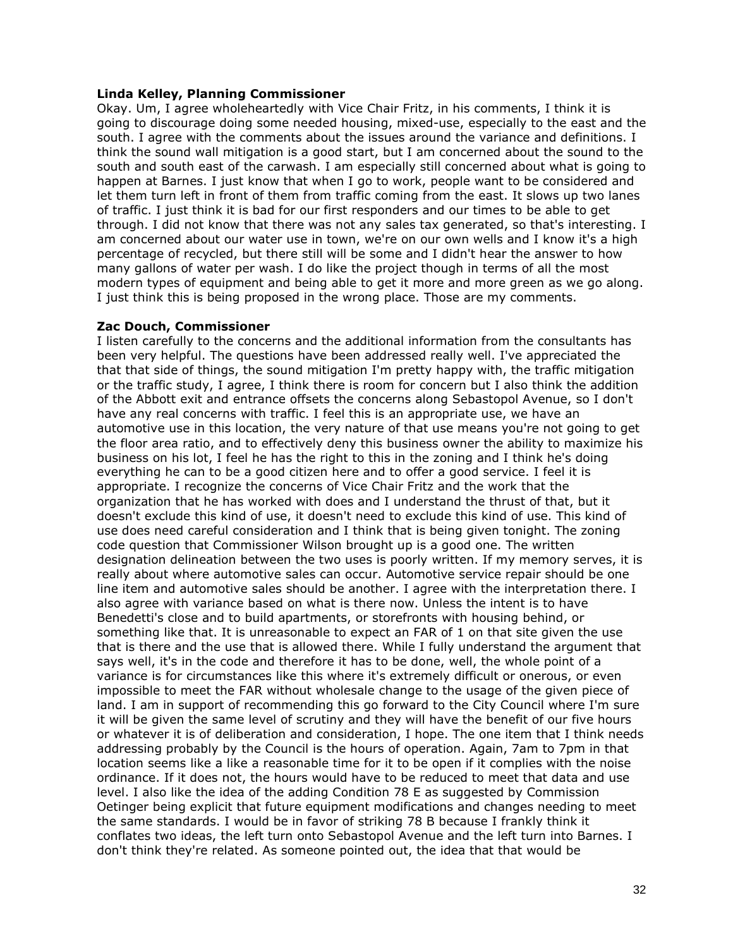### **Linda Kelley, Planning Commissioner**

Okay. Um, I agree wholeheartedly with Vice Chair Fritz, in his comments, I think it is going to discourage doing some needed housing, mixed-use, especially to the east and the south. I agree with the comments about the issues around the variance and definitions. I think the sound wall mitigation is a good start, but I am concerned about the sound to the south and south east of the carwash. I am especially still concerned about what is going to happen at Barnes. I just know that when I go to work, people want to be considered and let them turn left in front of them from traffic coming from the east. It slows up two lanes of traffic. I just think it is bad for our first responders and our times to be able to get through. I did not know that there was not any sales tax generated, so that's interesting. I am concerned about our water use in town, we're on our own wells and I know it's a high percentage of recycled, but there still will be some and I didn't hear the answer to how many gallons of water per wash. I do like the project though in terms of all the most modern types of equipment and being able to get it more and more green as we go along. I just think this is being proposed in the wrong place. Those are my comments.

# **Zac Douch, Commissioner**

I listen carefully to the concerns and the additional information from the consultants has been very helpful. The questions have been addressed really well. I've appreciated the that that side of things, the sound mitigation I'm pretty happy with, the traffic mitigation or the traffic study, I agree, I think there is room for concern but I also think the addition of the Abbott exit and entrance offsets the concerns along Sebastopol Avenue, so I don't have any real concerns with traffic. I feel this is an appropriate use, we have an automotive use in this location, the very nature of that use means you're not going to get the floor area ratio, and to effectively deny this business owner the ability to maximize his business on his lot, I feel he has the right to this in the zoning and I think he's doing everything he can to be a good citizen here and to offer a good service. I feel it is appropriate. I recognize the concerns of Vice Chair Fritz and the work that the organization that he has worked with does and I understand the thrust of that, but it doesn't exclude this kind of use, it doesn't need to exclude this kind of use. This kind of use does need careful consideration and I think that is being given tonight. The zoning code question that Commissioner Wilson brought up is a good one. The written designation delineation between the two uses is poorly written. If my memory serves, it is really about where automotive sales can occur. Automotive service repair should be one line item and automotive sales should be another. I agree with the interpretation there. I also agree with variance based on what is there now. Unless the intent is to have Benedetti's close and to build apartments, or storefronts with housing behind, or something like that. It is unreasonable to expect an FAR of 1 on that site given the use that is there and the use that is allowed there. While I fully understand the argument that says well, it's in the code and therefore it has to be done, well, the whole point of a variance is for circumstances like this where it's extremely difficult or onerous, or even impossible to meet the FAR without wholesale change to the usage of the given piece of land. I am in support of recommending this go forward to the City Council where I'm sure it will be given the same level of scrutiny and they will have the benefit of our five hours or whatever it is of deliberation and consideration, I hope. The one item that I think needs addressing probably by the Council is the hours of operation. Again, 7am to 7pm in that location seems like a like a reasonable time for it to be open if it complies with the noise ordinance. If it does not, the hours would have to be reduced to meet that data and use level. I also like the idea of the adding Condition 78 E as suggested by Commission Oetinger being explicit that future equipment modifications and changes needing to meet the same standards. I would be in favor of striking 78 B because I frankly think it conflates two ideas, the left turn onto Sebastopol Avenue and the left turn into Barnes. I don't think they're related. As someone pointed out, the idea that that would be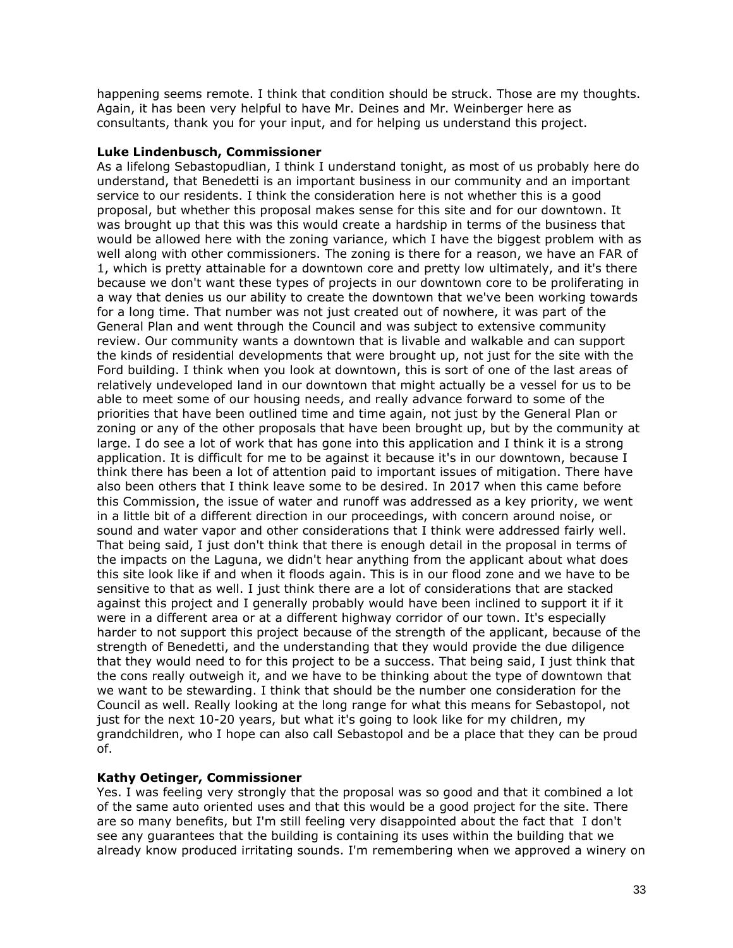happening seems remote. I think that condition should be struck. Those are my thoughts. Again, it has been very helpful to have Mr. Deines and Mr. Weinberger here as consultants, thank you for your input, and for helping us understand this project.

# **Luke Lindenbusch, Commissioner**

As a lifelong Sebastopudlian, I think I understand tonight, as most of us probably here do understand, that Benedetti is an important business in our community and an important service to our residents. I think the consideration here is not whether this is a good proposal, but whether this proposal makes sense for this site and for our downtown. It was brought up that this was this would create a hardship in terms of the business that would be allowed here with the zoning variance, which I have the biggest problem with as well along with other commissioners. The zoning is there for a reason, we have an FAR of 1, which is pretty attainable for a downtown core and pretty low ultimately, and it's there because we don't want these types of projects in our downtown core to be proliferating in a way that denies us our ability to create the downtown that we've been working towards for a long time. That number was not just created out of nowhere, it was part of the General Plan and went through the Council and was subject to extensive community review. Our community wants a downtown that is livable and walkable and can support the kinds of residential developments that were brought up, not just for the site with the Ford building. I think when you look at downtown, this is sort of one of the last areas of relatively undeveloped land in our downtown that might actually be a vessel for us to be able to meet some of our housing needs, and really advance forward to some of the priorities that have been outlined time and time again, not just by the General Plan or zoning or any of the other proposals that have been brought up, but by the community at large. I do see a lot of work that has gone into this application and I think it is a strong application. It is difficult for me to be against it because it's in our downtown, because I think there has been a lot of attention paid to important issues of mitigation. There have also been others that I think leave some to be desired. In 2017 when this came before this Commission, the issue of water and runoff was addressed as a key priority, we went in a little bit of a different direction in our proceedings, with concern around noise, or sound and water vapor and other considerations that I think were addressed fairly well. That being said, I just don't think that there is enough detail in the proposal in terms of the impacts on the Laguna, we didn't hear anything from the applicant about what does this site look like if and when it floods again. This is in our flood zone and we have to be sensitive to that as well. I just think there are a lot of considerations that are stacked against this project and I generally probably would have been inclined to support it if it were in a different area or at a different highway corridor of our town. It's especially harder to not support this project because of the strength of the applicant, because of the strength of Benedetti, and the understanding that they would provide the due diligence that they would need to for this project to be a success. That being said, I just think that the cons really outweigh it, and we have to be thinking about the type of downtown that we want to be stewarding. I think that should be the number one consideration for the Council as well. Really looking at the long range for what this means for Sebastopol, not just for the next 10-20 years, but what it's going to look like for my children, my grandchildren, who I hope can also call Sebastopol and be a place that they can be proud of.

# **Kathy Oetinger, Commissioner**

Yes. I was feeling very strongly that the proposal was so good and that it combined a lot of the same auto oriented uses and that this would be a good project for the site. There are so many benefits, but I'm still feeling very disappointed about the fact that I don't see any guarantees that the building is containing its uses within the building that we already know produced irritating sounds. I'm remembering when we approved a winery on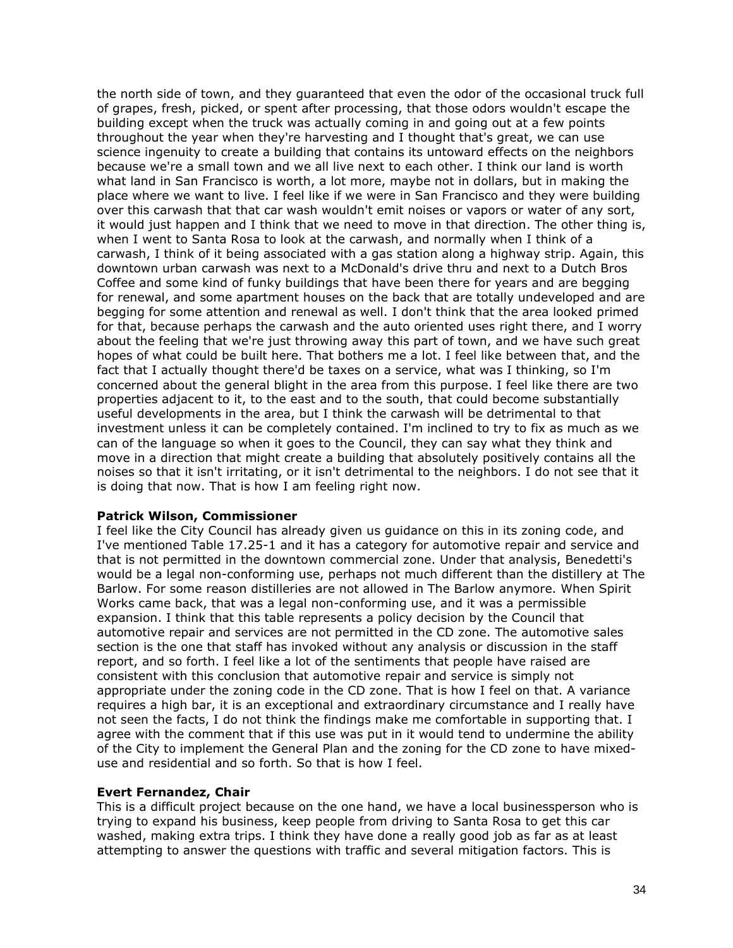the north side of town, and they guaranteed that even the odor of the occasional truck full of grapes, fresh, picked, or spent after processing, that those odors wouldn't escape the building except when the truck was actually coming in and going out at a few points throughout the year when they're harvesting and I thought that's great, we can use science ingenuity to create a building that contains its untoward effects on the neighbors because we're a small town and we all live next to each other. I think our land is worth what land in San Francisco is worth, a lot more, maybe not in dollars, but in making the place where we want to live. I feel like if we were in San Francisco and they were building over this carwash that that car wash wouldn't emit noises or vapors or water of any sort, it would just happen and I think that we need to move in that direction. The other thing is, when I went to Santa Rosa to look at the carwash, and normally when I think of a carwash, I think of it being associated with a gas station along a highway strip. Again, this downtown urban carwash was next to a McDonald's drive thru and next to a Dutch Bros Coffee and some kind of funky buildings that have been there for years and are begging for renewal, and some apartment houses on the back that are totally undeveloped and are begging for some attention and renewal as well. I don't think that the area looked primed for that, because perhaps the carwash and the auto oriented uses right there, and I worry about the feeling that we're just throwing away this part of town, and we have such great hopes of what could be built here. That bothers me a lot. I feel like between that, and the fact that I actually thought there'd be taxes on a service, what was I thinking, so I'm concerned about the general blight in the area from this purpose. I feel like there are two properties adjacent to it, to the east and to the south, that could become substantially useful developments in the area, but I think the carwash will be detrimental to that investment unless it can be completely contained. I'm inclined to try to fix as much as we can of the language so when it goes to the Council, they can say what they think and move in a direction that might create a building that absolutely positively contains all the noises so that it isn't irritating, or it isn't detrimental to the neighbors. I do not see that it is doing that now. That is how I am feeling right now.

# **Patrick Wilson, Commissioner**

I feel like the City Council has already given us guidance on this in its zoning code, and I've mentioned Table 17.25-1 and it has a category for automotive repair and service and that is not permitted in the downtown commercial zone. Under that analysis, Benedetti's would be a legal non-conforming use, perhaps not much different than the distillery at The Barlow. For some reason distilleries are not allowed in The Barlow anymore. When Spirit Works came back, that was a legal non-conforming use, and it was a permissible expansion. I think that this table represents a policy decision by the Council that automotive repair and services are not permitted in the CD zone. The automotive sales section is the one that staff has invoked without any analysis or discussion in the staff report, and so forth. I feel like a lot of the sentiments that people have raised are consistent with this conclusion that automotive repair and service is simply not appropriate under the zoning code in the CD zone. That is how I feel on that. A variance requires a high bar, it is an exceptional and extraordinary circumstance and I really have not seen the facts, I do not think the findings make me comfortable in supporting that. I agree with the comment that if this use was put in it would tend to undermine the ability of the City to implement the General Plan and the zoning for the CD zone to have mixeduse and residential and so forth. So that is how I feel.

#### **Evert Fernandez, Chair**

This is a difficult project because on the one hand, we have a local businessperson who is trying to expand his business, keep people from driving to Santa Rosa to get this car washed, making extra trips. I think they have done a really good job as far as at least attempting to answer the questions with traffic and several mitigation factors. This is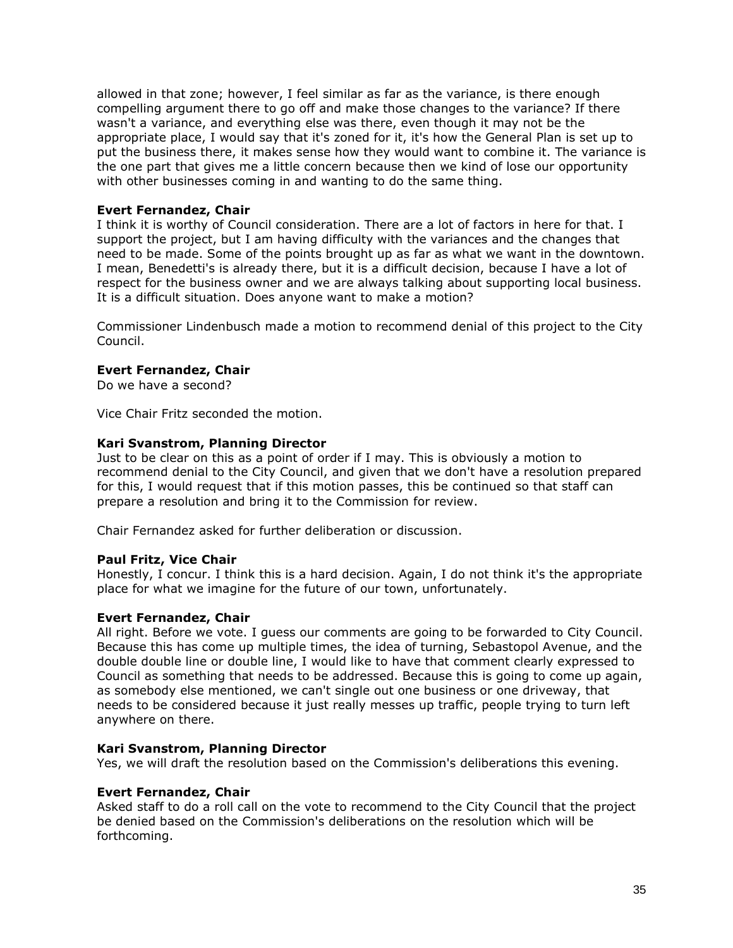allowed in that zone; however, I feel similar as far as the variance, is there enough compelling argument there to go off and make those changes to the variance? If there wasn't a variance, and everything else was there, even though it may not be the appropriate place, I would say that it's zoned for it, it's how the General Plan is set up to put the business there, it makes sense how they would want to combine it. The variance is the one part that gives me a little concern because then we kind of lose our opportunity with other businesses coming in and wanting to do the same thing.

# **Evert Fernandez, Chair**

I think it is worthy of Council consideration. There are a lot of factors in here for that. I support the project, but I am having difficulty with the variances and the changes that need to be made. Some of the points brought up as far as what we want in the downtown. I mean, Benedetti's is already there, but it is a difficult decision, because I have a lot of respect for the business owner and we are always talking about supporting local business. It is a difficult situation. Does anyone want to make a motion?

Commissioner Lindenbusch made a motion to recommend denial of this project to the City Council.

# **Evert Fernandez, Chair**

Do we have a second?

Vice Chair Fritz seconded the motion.

# **Kari Svanstrom, Planning Director**

Just to be clear on this as a point of order if I may. This is obviously a motion to recommend denial to the City Council, and given that we don't have a resolution prepared for this, I would request that if this motion passes, this be continued so that staff can prepare a resolution and bring it to the Commission for review.

Chair Fernandez asked for further deliberation or discussion.

# **Paul Fritz, Vice Chair**

Honestly, I concur. I think this is a hard decision. Again, I do not think it's the appropriate place for what we imagine for the future of our town, unfortunately.

#### **Evert Fernandez, Chair**

All right. Before we vote. I guess our comments are going to be forwarded to City Council. Because this has come up multiple times, the idea of turning, Sebastopol Avenue, and the double double line or double line, I would like to have that comment clearly expressed to Council as something that needs to be addressed. Because this is going to come up again, as somebody else mentioned, we can't single out one business or one driveway, that needs to be considered because it just really messes up traffic, people trying to turn left anywhere on there.

#### **Kari Svanstrom, Planning Director**

Yes, we will draft the resolution based on the Commission's deliberations this evening.

#### **Evert Fernandez, Chair**

Asked staff to do a roll call on the vote to recommend to the City Council that the project be denied based on the Commission's deliberations on the resolution which will be forthcoming.